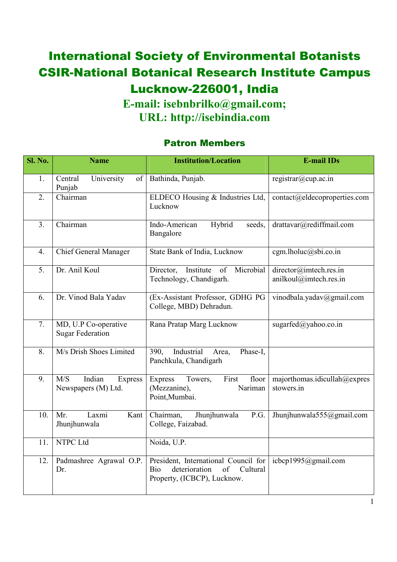## International Society of Environmental Botanists CSIR-National Botanical Research Institute Campus Lucknow-226001, India **E-mail: isebnbrilko@gmail.com;**

**URL: http://isebindia.com**

## Patron Members

| <b>Sl. No.</b>   | <b>Name</b>                                     | <b>Institution/Location</b>                                                                                   | <b>E-mail IDs</b>                                |
|------------------|-------------------------------------------------|---------------------------------------------------------------------------------------------------------------|--------------------------------------------------|
| 1.               | Central<br>University<br>of<br>Punjab           | Bathinda, Punjab.                                                                                             | registrar@cup.ac.in                              |
| $\overline{2}$ . | Chairman                                        | ELDECO Housing & Industries Ltd,<br>Lucknow                                                                   | contact@eldecoproperties.com                     |
| 3.               | Chairman                                        | Hybrid<br>Indo-American<br>seeds,<br>Bangalore                                                                | drattavar@rediffmail.com                         |
| $\overline{4}$ . | Chief General Manager                           | State Bank of India, Lucknow                                                                                  | cgm.lholuc@sbi.co.in                             |
| 5.               | Dr. Anil Koul                                   | Microbial<br>Institute<br>of<br>Director,<br>Technology, Chandigarh.                                          | director@imtech.res.in<br>anilkoul@imtech.res.in |
| 6.               | Dr. Vinod Bala Yadav                            | (Ex-Assistant Professor, GDHG PG<br>College, MBD) Dehradun.                                                   | vinodbala.yadav@gmail.com                        |
| 7.               | MD, U.P Co-operative<br><b>Sugar Federation</b> | Rana Pratap Marg Lucknow                                                                                      | sugarfed $(a)$ yahoo.co.in                       |
| 8.               | M/s Drish Shoes Limited                         | Industrial<br>Phase-I,<br>390.<br>Area,<br>Panchkula, Chandigarh                                              |                                                  |
| 9.               | M/S<br>Indian<br>Express<br>Newspapers (M) Ltd. | <b>Express</b><br>Towers,<br>First<br>floor<br>(Mezzanine),<br>Nariman<br>Point, Mumbai.                      | majorthomas.idicullah@expres<br>stowers.in       |
| 10.              | Mr.<br>Laxmi<br>Kant<br>Jhunjhunwala            | Chairman,<br>Jhunjhunwala<br>P.G.<br>College, Faizabad.                                                       | Jhunjhunwala555@gmail.com                        |
| 11.              | NTPC Ltd                                        | Noida, U.P.                                                                                                   |                                                  |
| 12.              | Padmashree Agrawal O.P.<br>Dr.                  | President, International Council for<br>deterioration<br>of<br>Bio<br>Cultural<br>Property, (ICBCP), Lucknow. | icbcp1995@gmail.com                              |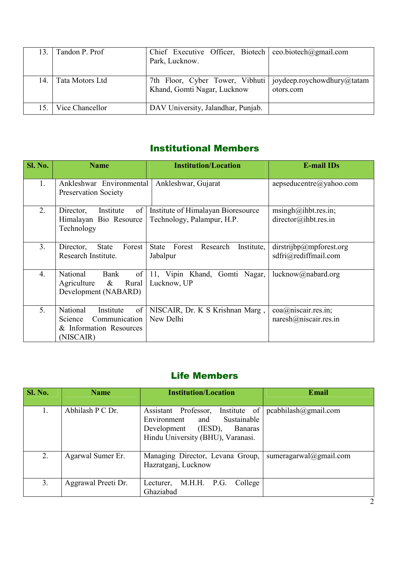| 13. | Tandon P. Prof  | Chief Executive Officer, Biotech   ceo.biotech@gmail.com<br>Park, Lucknow.                  |           |
|-----|-----------------|---------------------------------------------------------------------------------------------|-----------|
| 14. | Tata Motors Ltd | 7th Floor, Cyber Tower, Vibhuti   joydeep.roychowdhury@tatam<br>Khand, Gomti Nagar, Lucknow | otors.com |
| 15. | Vice Chancellor | DAV University, Jalandhar, Punjab.                                                          |           |

## Institutional Members

| <b>Sl. No.</b> | <b>Name</b>                                                                                     | <b>Institution/Location</b>                                      | <b>E-mail IDs</b>                               |
|----------------|-------------------------------------------------------------------------------------------------|------------------------------------------------------------------|-------------------------------------------------|
| 1.             | Ankleshwar Environmental<br><b>Preservation Society</b>                                         | Ankleshwar, Gujarat                                              | $a$ epseducentre $(a)$ yahoo.com                |
| 2.             | Director,<br>Institute<br>of<br>Himalayan Bio Resource<br>Technology                            | Institute of Himalayan Bioresource<br>Technology, Palampur, H.P. | msingh@iht.res.in;<br>direction(@iht.res.in     |
| 3.             | Forest<br>State<br>Director,<br>Research Institute.                                             | Forest<br><b>State</b><br>Research<br>Institute,<br>Jabalpur     | dirstrijbp@mpforest.org<br>sdfri@rediffmail.com |
| 4.             | of<br>National<br>Bank<br>$\&$<br>Rural<br>Agriculture<br>Development (NABARD)                  | 11, Vipin Khand, Gomti Nagar,<br>Lucknow, UP                     | lucknow@nabard.org                              |
| 5.             | National<br>of<br>Institute<br>Communication<br>Science<br>& Information Resources<br>(NISCAIR) | NISCAIR, Dr. K S Krishnan Marg,<br>New Delhi                     | coa@niscair.res.in;<br>naresh@niscair.res.in    |

## Life Members

| Sl. No. | <b>Name</b>         | <b>Institution/Location</b>                                                                                                                      | Email                  |
|---------|---------------------|--------------------------------------------------------------------------------------------------------------------------------------------------|------------------------|
| 1.      | Abhilash P C Dr.    | Institute of<br>Assistant Professor,<br>Sustainable<br>Environment<br>and<br>Development (IESD),<br>Banaras<br>Hindu University (BHU), Varanasi. | pcabhilash@gmail.com   |
| 2.      | Agarwal Sumer Er.   | Managing Director, Levana Group,<br>Hazratganj, Lucknow                                                                                          | sumeragarwal@gmail.com |
| 3.      | Aggrawal Preeti Dr. | M.H.H. P.G.<br>College<br>Lecturer,<br>Ghaziabad                                                                                                 |                        |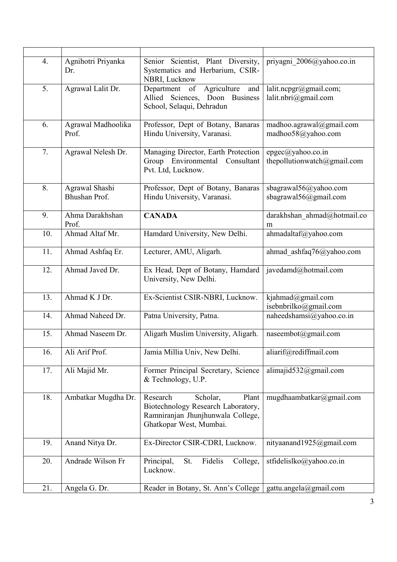| 4.  | Agnihotri Priyanka<br>Dr.       | Senior Scientist, Plant Diversity,<br>Systematics and Herbarium, CSIR-<br>NBRI, Lucknow                                             | priyagni 2006@yahoo.co.in                        |
|-----|---------------------------------|-------------------------------------------------------------------------------------------------------------------------------------|--------------------------------------------------|
| 5.  | Agrawal Lalit Dr.               | Agriculture<br>Department of<br>and<br>Allied Sciences, Doon Business<br>School, Selaqui, Dehradun                                  | lalit.ncpgr@gmail.com;<br>lalit.nbri@gmail.com   |
| 6.  | Agrawal Madhoolika<br>Prof.     | Professor, Dept of Botany, Banaras<br>Hindu University, Varanasi.                                                                   | madhoo.agrawal@gmail.com<br>madhoo58@yahoo.com   |
| 7.  | Agrawal Nelesh Dr.              | Managing Director, Earth Protection<br>Environmental Consultant<br>Group<br>Pvt. Ltd, Lucknow.                                      | epgec@yahoo.co.in<br>thepollutionwatch@gmail.com |
| 8.  | Agrawal Shashi<br>Bhushan Prof. | Professor, Dept of Botany, Banaras<br>Hindu University, Varanasi.                                                                   | sbagrawal56@yahoo.com<br>sbagrawal56@gmail.com   |
| 9.  | Ahma Darakhshan<br>Prof.        | <b>CANADA</b>                                                                                                                       | darakhshan_ahmad@hotmail.co<br>m                 |
| 10. | Ahmad Altaf Mr.                 | Hamdard University, New Delhi.                                                                                                      | ahmadaltaf@yahoo.com                             |
| 11. | Ahmad Ashfaq Er.                | Lecturer, AMU, Aligarh.                                                                                                             | ahmad ashfaq76@yahoo.com                         |
| 12. | Ahmad Javed Dr.                 | Ex Head, Dept of Botany, Hamdard<br>University, New Delhi.                                                                          | javedamd@hotmail.com                             |
| 13. | Ahmad K J Dr.                   | Ex-Scientist CSIR-NBRI, Lucknow.                                                                                                    | kjahmad@gmail.com<br>isebnbrilko@gmail.com       |
| 14. | Ahmad Naheed Dr.                | Patna University, Patna.                                                                                                            | naheedshamsi@yahoo.co.in                         |
| 15. | Ahmad Naseem Dr.                | Aligarh Muslim University, Aligarh.                                                                                                 | naseembot@gmail.com                              |
| 16. | Ali Arif Prof.                  | Jamia Millia Univ, New Delhi.                                                                                                       | aliarif@rediffmail.com                           |
| 17. | Ali Majid Mr.                   | Former Principal Secretary, Science<br>& Technology, U.P.                                                                           | alimajid532@gmail.com                            |
| 18. | Ambatkar Mugdha Dr.             | Research<br>Scholar,<br>Plant<br>Biotechnology Research Laboratory,<br>Ramniranjan Jhunjhunwala College,<br>Ghatkopar West, Mumbai. | mugdhaambatkar@gmail.com                         |
| 19. | Anand Nitya Dr.                 | Ex-Director CSIR-CDRI, Lucknow.                                                                                                     | nityaanand1925@gmail.com                         |
| 20. | Andrade Wilson Fr               | Fidelis<br>Principal,<br>St.<br>College,<br>Lucknow.                                                                                | stfidelislko@yahoo.co.in                         |
| 21. | Angela G. Dr.                   | Reader in Botany, St. Ann's College                                                                                                 | gattu.angela@gmail.com                           |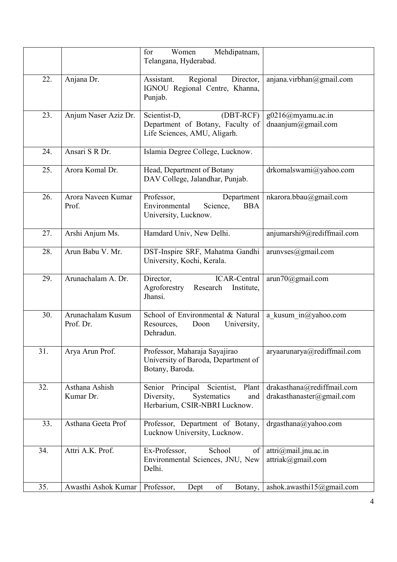|     |                                | Mehdipatnam,<br>for<br>Women<br>Telangana, Hyderabad.                                                           |                                                                |
|-----|--------------------------------|-----------------------------------------------------------------------------------------------------------------|----------------------------------------------------------------|
| 22. | Anjana Dr.                     | Regional<br>Director,<br>Assistant.<br>IGNOU Regional Centre, Khanna,<br>Punjab.                                | anjana.virbhan@gmail.com                                       |
| 23. | Anjum Naser Aziz Dr.           | $(DBT-RCF)$<br>Scientist-D,<br>Department of Botany, Faculty of<br>Life Sciences, AMU, Aligarh.                 | $g0216$ @myamu.ac.in<br>dnaanjum $@g$ mail.com                 |
| 24. | Ansari S R Dr.                 | Islamia Degree College, Lucknow.                                                                                |                                                                |
| 25. | Arora Komal Dr.                | Head, Department of Botany<br>DAV College, Jalandhar, Punjab.                                                   | drkomalswami@yahoo.com                                         |
| 26. | Arora Naveen Kumar<br>Prof.    | Professor,<br>Department<br>Environmental<br>Science,<br><b>BBA</b><br>University, Lucknow.                     | nkarora.bbau@gmail.com                                         |
| 27. | Arshi Anjum Ms.                | Hamdard Univ, New Delhi.                                                                                        | anjumarshi9@rediffmail.com                                     |
| 28. | Arun Babu V. Mr.               | DST-Inspire SRF, Mahatma Gandhi<br>University, Kochi, Kerala.                                                   | arunvese@gmail.com                                             |
| 29. | Arunachalam A. Dr.             | Director,<br>ICAR-Central<br>Agroforestry<br>Research<br>Institute,<br>Jhansi.                                  | arun70@gmail.com                                               |
| 30. | Arunachalam Kusum<br>Prof. Dr. | School of Environmental & Natural<br>Resources,<br>Doon<br>University,<br>Dehradun.                             | a kusum $in@yahoo.com$                                         |
| 31. | Arya Arun Prof.                | Professor, Maharaja Sayajirao<br>University of Baroda, Department of<br>Botany, Baroda.                         | aryaarunarya@rediffmail.com                                    |
| 32. | Asthana Ashish<br>Kumar Dr.    | Senior<br>Scientist,<br>Plant<br>Principal<br>Diversity,<br>Systematics<br>and<br>Herbarium, CSIR-NBRI Lucknow. | drakasthana@rediffmail.com<br>drakasthanaster@gmail.com        |
| 33. | Asthana Geeta Prof             | Professor, Department of Botany,<br>Lucknow University, Lucknow.                                                | drgasthana@yahoo.com                                           |
| 34. | Attri A.K. Prof.               | School<br>Ex-Professor,<br>of<br>Environmental Sciences, JNU, New<br>Delhi.                                     | $\text{attri}(\widehat{a}$ mail.jnu.ac.in<br>attriak@gmail.com |
| 35. | Awasthi Ashok Kumar            | Professor,<br>of<br>Dept<br>Botany,                                                                             | ashok.awasthi15@gmail.com                                      |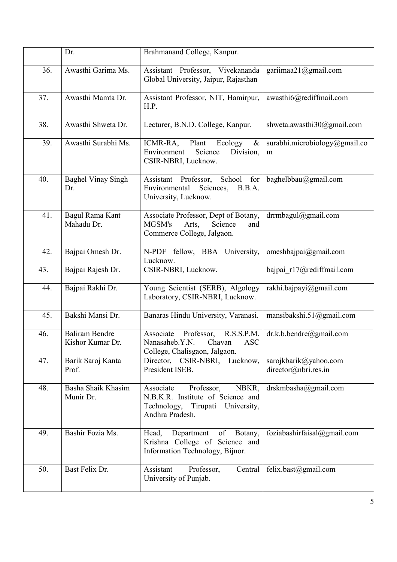|     | Dr.                                       | Brahmanand College, Kanpur.                                                                                                     |                                               |
|-----|-------------------------------------------|---------------------------------------------------------------------------------------------------------------------------------|-----------------------------------------------|
| 36. | Awasthi Garima Ms.                        | Assistant Professor, Vivekananda<br>Global University, Jaipur, Rajasthan                                                        | gariimaa21@gmail.com                          |
| 37. | Awasthi Mamta Dr.                         | Assistant Professor, NIT, Hamirpur,<br>H.P.                                                                                     | awasthi6@rediffmail.com                       |
| 38. | Awasthi Shweta Dr.                        | Lecturer, B.N.D. College, Kanpur.                                                                                               | shweta.awasthi30@gmail.com                    |
| 39. | Awasthi Surabhi Ms.                       | Plant<br>ICMR-RA,<br>Ecology<br>$\&$<br>Environment<br>Division,<br>Science<br>CSIR-NBRI, Lucknow.                              | surabhi.microbiology@gmail.co<br>m            |
| 40. | <b>Baghel Vinay Singh</b><br>Dr.          | School<br>Assistant Professor,<br>for<br>Environmental<br>Sciences,<br>B.B.A.<br>University, Lucknow.                           | baghelbbau@gmail.com                          |
| 41. | Bagul Rama Kant<br>Mahadu Dr.             | Associate Professor, Dept of Botany,<br>MGSM's<br>Arts,<br>Science<br>and<br>Commerce College, Jalgaon.                         | drrmbagul@gmail.com                           |
| 42. | Bajpai Omesh Dr.                          | N-PDF fellow, BBA University,<br>Lucknow.                                                                                       | omeshbajpai@gmail.com                         |
| 43. | Bajpai Rajesh Dr.                         | CSIR-NBRI, Lucknow.                                                                                                             | bajpai_r17@rediffmail.com                     |
| 44. | Bajpai Rakhi Dr.                          | Young Scientist (SERB), Algology<br>Laboratory, CSIR-NBRI, Lucknow.                                                             | rakhi.bajpayi@gmail.com                       |
| 45. | Bakshi Mansi Dr.                          | Banaras Hindu University, Varanasi.                                                                                             | mansibakshi.51@gmail.com                      |
| 46. | <b>Baliram Bendre</b><br>Kishor Kumar Dr. | Associate<br>Professor,<br>R.S.S.P.M.<br>Nanasaheb.Y.N.<br>Chavan<br><b>ASC</b><br>College, Chalisgaon, Jalgaon.                | dr.k.b.bendre@gmail.com                       |
| 47. | Barik Saroj Kanta<br>Prof.                | Director, CSIR-NBRI, Lucknow,<br>President ISEB.                                                                                | sarojkbarik@yahoo.com<br>director@nbri.res.in |
| 48. | Basha Shaik Khasim<br>Munir Dr.           | Associate<br>Professor,<br>NBKR,<br>N.B.K.R. Institute of Science and<br>Technology,<br>Tirupati University,<br>Andhra Pradesh. | drskmbasha@gmail.com                          |
| 49. | Bashir Fozia Ms.                          | of Botany,<br>Head,<br>Department<br>Krishna College of Science and<br>Information Technology, Bijnor.                          | foziabashirfaisal@gmail.com                   |
| 50. | Bast Felix Dr.                            | Assistant<br>Professor,<br>Central<br>University of Punjab.                                                                     | felix.bast@gmail.com                          |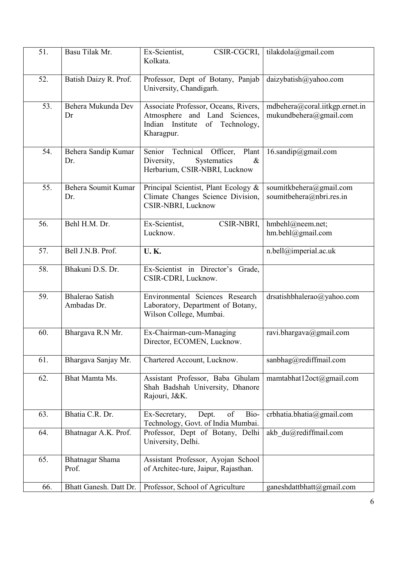| 51. | Basu Tilak Mr.                        | Ex-Scientist,<br>CSIR-CGCRI,<br>Kolkata.                                                                               | tilakdola@gmail.com                                      |
|-----|---------------------------------------|------------------------------------------------------------------------------------------------------------------------|----------------------------------------------------------|
| 52. | Batish Daizy R. Prof.                 | Professor, Dept of Botany, Panjab<br>University, Chandigarh.                                                           | daizybatish@yahoo.com                                    |
| 53. | Behera Mukunda Dev<br>Dr              | Associate Professor, Oceans, Rivers,<br>Atmosphere and Land Sciences,<br>Indian Institute of Technology,<br>Kharagpur. | mdbehera@coral.iitkgp.ernet.in<br>mukundbehera@gmail.com |
| 54. | Behera Sandip Kumar<br>Dr.            | Senior Technical Officer,<br>Plant<br>Diversity,<br>Systematics<br>$\&$<br>Herbarium, CSIR-NBRI, Lucknow               | $16$ .sandip@gmail.com                                   |
| 55. | Behera Soumit Kumar<br>Dr.            | Principal Scientist, Plant Ecology &<br>Climate Changes Science Division,<br>CSIR-NBRI, Lucknow                        | soumitkbehera@gmail.com<br>soumitbehera@nbri.res.in      |
| 56. | Behl H.M. Dr.                         | Ex-Scientist,<br>CSIR-NBRI,<br>Lucknow.                                                                                | hmbehl@neem.net;<br>hm.behl@gmail.com                    |
| 57. | Bell J.N.B. Prof.                     | <b>U.K.</b>                                                                                                            | n.bell@imperial.ac.uk                                    |
| 58. | Bhakuni D.S. Dr.                      | Ex-Scientist in Director's Grade,<br>CSIR-CDRI, Lucknow.                                                               |                                                          |
| 59. | <b>Bhalerao Satish</b><br>Ambadas Dr. | Environmental Sciences Research<br>Laboratory, Department of Botany,<br>Wilson College, Mumbai.                        | drsatishbhalerao@yahoo.com                               |
| 60. | Bhargava R.N Mr.                      | Ex-Chairman-cum-Managing<br>Director, ECOMEN, Lucknow.                                                                 | ravi.bhargava@gmail.com                                  |
| 61. | Bhargava Sanjay Mr.                   | Chartered Account, Lucknow.                                                                                            | sanbhag@rediffmail.com                                   |
| 62. | Bhat Mamta Ms.                        | Assistant Professor, Baba Ghulam<br>Shah Badshah University, Dhanore<br>Rajouri, J&K.                                  | mamtabhat12oct@gmail.com                                 |
| 63. | Bhatia C.R. Dr.                       | Bio-<br>of<br>Dept.<br>Ex-Secretary,<br>Technology, Govt. of India Mumbai.                                             | crbhatia.bhatia@gmail.com                                |
| 64. | Bhatnagar A.K. Prof.                  | Professor, Dept of Botany, Delhi<br>University, Delhi.                                                                 | akb du@rediffmail.com                                    |
| 65. | Bhatnagar Shama<br>Prof.              | Assistant Professor, Ayojan School<br>of Architec-ture, Jaipur, Rajasthan.                                             |                                                          |
| 66. | Bhatt Ganesh. Datt Dr.                | Professor, School of Agriculture                                                                                       | ganeshdattbhatt@gmail.com                                |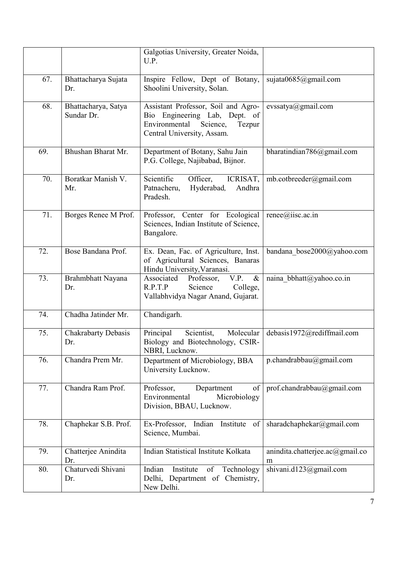|     |                                   | Galgotias University, Greater Noida,<br>U.P.                                                                                              |                                      |
|-----|-----------------------------------|-------------------------------------------------------------------------------------------------------------------------------------------|--------------------------------------|
| 67. | Bhattacharya Sujata<br>Dr.        | Inspire Fellow, Dept of Botany,<br>Shoolini University, Solan.                                                                            | sujata0685@gmail.com                 |
| 68. | Bhattacharya, Satya<br>Sundar Dr. | Assistant Professor, Soil and Agro-<br>Bio Engineering Lab, Dept. of<br>Environmental<br>Science,<br>Tezpur<br>Central University, Assam. | evssatya@gmail.com                   |
| 69. | Bhushan Bharat Mr.                | Department of Botany, Sahu Jain<br>P.G. College, Najibabad, Bijnor.                                                                       | bharatindian786@gmail.com            |
| 70. | Boratkar Manish V.<br>Mr.         | Scientific<br>Officer,<br>ICRISAT,<br>Patnacheru,<br>Hyderabad,<br>Andhra<br>Pradesh.                                                     | mb.cotbreeder@gmail.com              |
| 71. | Borges Renee M Prof.              | Professor, Center for Ecological<br>Sciences, Indian Institute of Science,<br>Bangalore.                                                  | renee@iisc.ac.in                     |
| 72. | Bose Bandana Prof.                | Ex. Dean, Fac. of Agriculture, Inst.<br>of Agricultural Sciences, Banaras<br>Hindu University, Varanasi.                                  | bandana bose2000@yahoo.com           |
| 73. | Brahmbhatt Nayana<br>Dr.          | Associated<br>Professor,<br>V.P.<br>$\&$<br>R.P.T.P<br>Science<br>College,<br>Vallabhvidya Nagar Anand, Gujarat.                          | naina bbhatt@yahoo.co.in             |
| 74. | Chadha Jatinder Mr.               | Chandigarh.                                                                                                                               |                                      |
| 75. | <b>Chakrabarty Debasis</b><br>Dr. | Principal<br>Scientist,<br>Molecular<br>Biology and Biotechnology, CSIR-<br>NBRI, Lucknow.                                                | debasis1972@rediffmail.com           |
| 76. | Chandra Prem Mr.                  | Department of Microbiology, BBA<br>University Lucknow.                                                                                    | p.chandrabbau@gmail.com              |
| 77. | Chandra Ram Prof.                 | Professor,<br>Department<br>of<br>Environmental<br>Microbiology<br>Division, BBAU, Lucknow.                                               | prof.chandrabbau@gmail.com           |
| 78. | Chaphekar S.B. Prof.              | Ex-Professor, Indian Institute of<br>Science, Mumbai.                                                                                     | sharadchaphekar@gmail.com            |
| 79. | Chatterjee Anindita<br>Dr.        | Indian Statistical Institute Kolkata                                                                                                      | anindita.chatterjee.ac@gmail.co<br>m |
| 80. | Chaturvedi Shivani<br>Dr.         | Indian<br>Institute<br>Technology<br>of<br>Delhi, Department of Chemistry,<br>New Delhi.                                                  | shivani.d123@gmail.com               |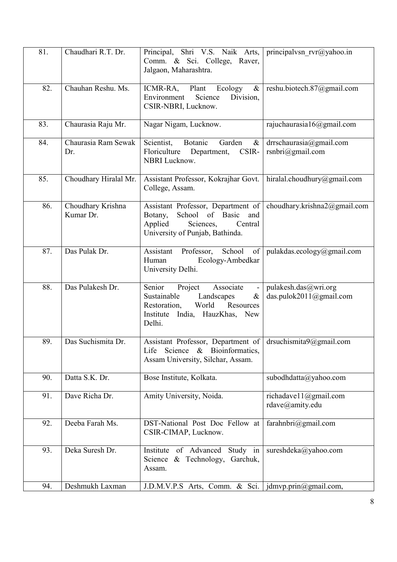| 81. | Chaudhari R.T. Dr.             | Principal, Shri V.S. Naik Arts,<br>Comm. & Sci. College, Raver,<br>Jalgaon, Maharashtra.                                                                 | principalvsn $rvr@yahoo.in$                     |
|-----|--------------------------------|----------------------------------------------------------------------------------------------------------------------------------------------------------|-------------------------------------------------|
| 82. | Chauhan Reshu. Ms.             | Plant<br>Ecology<br>ICMR-RA,<br>$\&$<br>Science<br>Division,<br>Environment<br>CSIR-NBRI, Lucknow.                                                       | reshu.biotech.87@gmail.com                      |
| 83. | Chaurasia Raju Mr.             | Nagar Nigam, Lucknow.                                                                                                                                    | rajuchaurasia16@gmail.com                       |
| 84. | Chaurasia Ram Sewak<br>Dr.     | Botanic<br>Scientist,<br>Garden<br>$\&$<br>Floriculture<br>Department,<br>CSIR-<br><b>NBRI</b> Lucknow.                                                  | drrschaurasia@gmail.com<br>rsnbri@gmail.com     |
| 85. | Choudhary Hiralal Mr.          | Assistant Professor, Kokrajhar Govt.<br>College, Assam.                                                                                                  | hiralal.choudhury@gmail.com                     |
| 86. | Choudhary Krishna<br>Kumar Dr. | Assistant Professor, Department of<br>of Basic<br>School<br>Botany,<br>and<br>Applied<br>Sciences,<br>Central<br>University of Punjab, Bathinda.         | choudhary.krishna2@gmail.com                    |
| 87. | Das Pulak Dr.                  | School<br>Assistant<br>Professor,<br>of<br>Ecology-Ambedkar<br>Human<br>University Delhi.                                                                | pulakdas.ecology@gmail.com                      |
| 88. | Das Pulakesh Dr.               | Senior<br>Associate<br>Project<br>Landscapes<br>Sustainable<br>$\&$<br>World<br>Resources<br>Restoration,<br>India, HauzKhas, New<br>Institute<br>Delhi. | pulakesh.das@wri.org<br>das.pulok2011@gmail.com |
| 89. | Das Suchismita Dr.             | Assistant Professor, Department of drsuchismita9@gmail.com<br>Life<br>Science<br>& Bioinformatics,<br>Assam University, Silchar, Assam.                  |                                                 |
| 90. | Datta S.K. Dr.                 | Bose Institute, Kolkata.                                                                                                                                 | subodhdatta@yahoo.com                           |
| 91. | Dave Richa Dr.                 | Amity University, Noida.                                                                                                                                 | richadave11@gmail.com<br>rdave@amity.edu        |
| 92. | Deeba Farah Ms.                | DST-National Post Doc Fellow at<br>CSIR-CIMAP, Lucknow.                                                                                                  | farahnbri@gmail.com                             |
| 93. | Deka Suresh Dr.                | Institute of Advanced<br>Study in<br>Science & Technology,<br>Garchuk,<br>Assam.                                                                         | sureshdeka@yahoo.com                            |
| 94. | Deshmukh Laxman                | J.D.M.V.P.S Arts, Comm. & Sci.   jdmvp.prin@gmail.com,                                                                                                   |                                                 |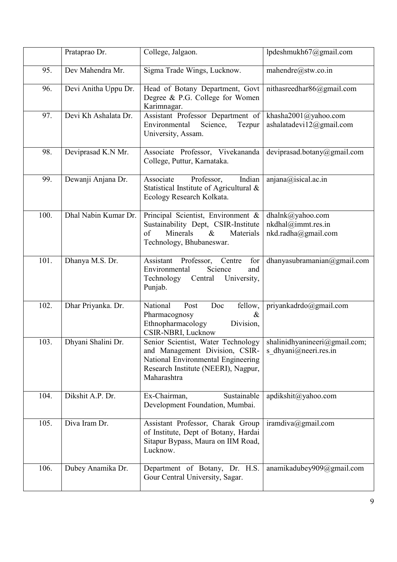|      | Prataprao Dr.        | College, Jalgaon.                                                                                                                                                                                | lpdeshmukh67@gmail.com                                        |
|------|----------------------|--------------------------------------------------------------------------------------------------------------------------------------------------------------------------------------------------|---------------------------------------------------------------|
| 95.  | Dev Mahendra Mr.     | Sigma Trade Wings, Lucknow.                                                                                                                                                                      | mahendre@stw.co.in                                            |
| 96.  | Devi Anitha Uppu Dr. | Head of Botany Department, Govt<br>Degree & P.G. College for Women<br>Karimnagar.                                                                                                                | nithasreedhar86@gmail.com                                     |
| 97.  | Devi Kh Ashalata Dr. | Assistant Professor Department of<br>Environmental<br>Science,<br>Tezpur<br>University, Assam.                                                                                                   | khasha2001@yahoo.com<br>ashalatadevi12@gmail.com              |
| 98.  | Deviprasad K.N Mr.   | Associate Professor, Vivekananda<br>College, Puttur, Karnataka.                                                                                                                                  | deviprasad.botany@gmail.com                                   |
| 99.  | Dewanji Anjana Dr.   | Associate<br>Professor,<br>Indian<br>Statistical Institute of Agricultural &<br>Ecology Research Kolkata.                                                                                        | anjana@isical.ac.in                                           |
| 100. | Dhal Nabin Kumar Dr. | Principal Scientist, Environment &<br>Sustainability Dept, CSIR-Institute<br>of<br>Minerals<br>$\&$<br>Materials<br>Technology, Bhubaneswar.                                                     | dhalnk@yahoo.com<br>nkdhal@immt.res.in<br>nkd.radha@gmail.com |
| 101. | Dhanya M.S. Dr.      | Assistant<br>Professor,<br>Centre<br>for<br>Science<br>Environmental<br>and<br>University,<br>Technology<br>Central<br>Punjab.                                                                   | dhanyasubramanian@gmail.com                                   |
| 102. | Dhar Priyanka. Dr.   | National<br>Doc<br>fellow,<br>Post<br>Pharmacognosy<br>&<br>Ethnopharmacology<br>Division,<br>CSIR-NBRI, Lucknow                                                                                 | priyankadrdo@gmail.com                                        |
| 103. | Dhyani Shalini Dr.   | Senior Scientist, Water Technology   shalinidhyanineeri@gmail.com;<br>and Management Division, CSIR-<br>National Environmental Engineering<br>Research Institute (NEERI), Nagpur,<br>Maharashtra | s dhyani@neeri.res.in                                         |
| 104. | Dikshit A.P. Dr.     | Ex-Chairman,<br>Sustainable<br>Development Foundation, Mumbai.                                                                                                                                   | apdikshit@yahoo.com                                           |
| 105. | Diva Iram Dr.        | Assistant Professor, Charak Group<br>of Institute, Dept of Botany, Hardai<br>Sitapur Bypass, Maura on IIM Road,<br>Lucknow.                                                                      | iramdiva@gmail.com                                            |
| 106. | Dubey Anamika Dr.    | Department of Botany, Dr. H.S.<br>Gour Central University, Sagar.                                                                                                                                | anamikadubey909@gmail.com                                     |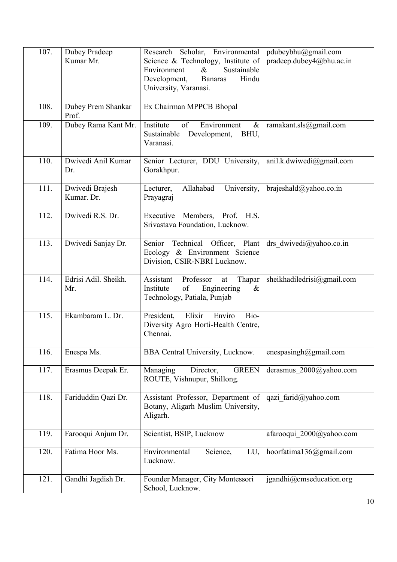| 107. | Dubey Pradeep<br>Kumar Mr.    | Research Scholar, Environmental<br>Science & Technology, Institute of<br>Sustainable<br>Environment<br>$\&$<br>Development,<br><b>Banaras</b><br>Hindu<br>University, Varanasi. | pdubeybhu@gmail.com<br>pradeep.dubey4@bhu.ac.in |
|------|-------------------------------|---------------------------------------------------------------------------------------------------------------------------------------------------------------------------------|-------------------------------------------------|
| 108. | Dubey Prem Shankar<br>Prof.   | Ex Chairman MPPCB Bhopal                                                                                                                                                        |                                                 |
| 109. | Dubey Rama Kant Mr.           | Institute<br>of<br>Environment<br>$\&$<br>Sustainable<br>Development,<br>BHU,<br>Varanasi.                                                                                      | ramakant.sls@gmail.com                          |
| 110. | Dwivedi Anil Kumar<br>Dr.     | Senior Lecturer, DDU University,<br>Gorakhpur.                                                                                                                                  | anil.k.dwiwedi@gmail.com                        |
| 111. | Dwivedi Brajesh<br>Kumar. Dr. | Allahabad<br>University,<br>Lecturer,<br>Prayagraj                                                                                                                              | brajeshald@yahoo.co.in                          |
| 112. | Dwivedi R.S. Dr.              | Executive Members, Prof. H.S.<br>Srivastava Foundation, Lucknow.                                                                                                                |                                                 |
| 113. | Dwivedi Sanjay Dr.            | Technical Officer, Plant<br>Senior<br>Ecology & Environment Science<br>Division, CSIR-NBRI Lucknow.                                                                             | drs dwivedi@yahoo.co.in                         |
| 114. | Edrisi Adil. Sheikh.<br>Mr.   | Assistant<br>Professor<br>Thapar<br>at<br>Institute<br>of<br>Engineering<br>$\&$<br>Technology, Patiala, Punjab                                                                 | sheikhadiledrisi@gmail.com                      |
| 115. | Ekambaram L. Dr.              | Elixir<br>President,<br>Enviro<br>Bio-<br>Diversity Agro Horti-Health Centre,<br>Chennai.                                                                                       |                                                 |
| 116. | Enespa Ms.                    | BBA Central University, Lucknow.                                                                                                                                                | enespasingh@gmail.com                           |
| 117. | Erasmus Deepak Er.            | Managing<br>Director,<br><b>GREEN</b><br>ROUTE, Vishnupur, Shillong.                                                                                                            | derasmus 2000@yahoo.com                         |
| 118. | Fariduddin Qazi Dr.           | Assistant Professor, Department of<br>Botany, Aligarh Muslim University,<br>Aligarh.                                                                                            | qazi farid@yahoo.com                            |
| 119. | Farooqui Anjum Dr.            | Scientist, BSIP, Lucknow                                                                                                                                                        | afarooqui 2000@yahoo.com                        |
| 120. | Fatima Hoor Ms.               | Environmental<br>Science,<br>LU,<br>Lucknow.                                                                                                                                    | hoorfatima136@gmail.com                         |
| 121. | Gandhi Jagdish Dr.            | Founder Manager, City Montessori<br>School, Lucknow.                                                                                                                            | jgandhi@cmseducation.org                        |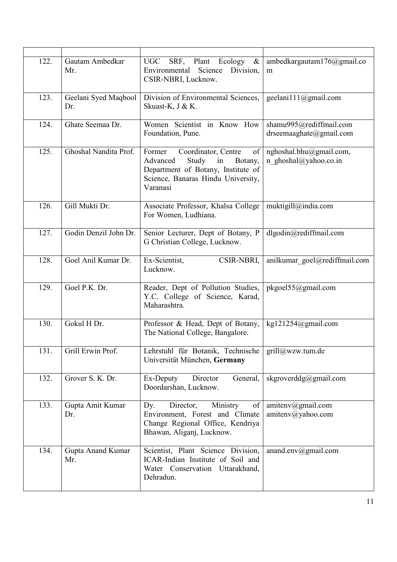| 122. | Gautam Ambedkar<br>Mr.      | UGC SRF, Plant Ecology $\&$<br>Environmental Science<br>Division,<br>CSIR-NBRI, Lucknow.                                                                              | ambedkargautam176@gmail.co<br>m                    |
|------|-----------------------------|-----------------------------------------------------------------------------------------------------------------------------------------------------------------------|----------------------------------------------------|
| 123. | Geelani Syed Maqbool<br>Dr. | Division of Environmental Sciences,<br>Skuast-K, J & K.                                                                                                               | geelani111@gmail.com                               |
| 124. | Ghate Seemaa Dr.            | Women Scientist in Know How<br>Foundation, Pune.                                                                                                                      | shamu995@rediffmail.com<br>drseemaaghate@gmail.com |
| 125. | Ghoshal Nandita Prof.       | Coordinator, Centre<br>of<br>Former<br>Advanced<br>Study<br>$\sin$<br>Botany,<br>Department of Botany, Institute of<br>Science, Banaras Hindu University,<br>Varanasi | nghoshal.bhu@gmail.com,<br>n ghoshal@yahoo.co.in   |
| 126. | Gill Mukti Dr.              | Associate Professor, Khalsa College<br>For Women, Ludhiana.                                                                                                           | muktigill@india.com                                |
| 127. | Godin Denzil John Dr.       | Senior Lecturer, Dept of Botany, P<br>G Christian College, Lucknow.                                                                                                   | dlgodin@rediffmail.com                             |
| 128. | Goel Anil Kumar Dr.         | Ex-Scientist,<br>CSIR-NBRI,<br>Lucknow.                                                                                                                               | anilkumar goel@rediffmail.com                      |
| 129. | Goel P.K. Dr.               | Reader, Dept of Pollution Studies,<br>Y.C. College of Science, Karad,<br>Maharashtra.                                                                                 | pkgoel55@gmail.com                                 |
| 130. | Gokul H Dr.                 | Professor & Head, Dept of Botany,<br>The National College, Bangalore.                                                                                                 | kg121254@gmail.com                                 |
| 131. | Grill Erwin Prof.           | Lehrstuhl für Botanik, Technische<br>Universität München, Germany                                                                                                     | grill@wzw.tum.de                                   |
| 132. | Grover S. K. Dr.            | General,<br>Ex-Deputy<br>Director<br>Doordarshan, Lucknow.                                                                                                            | skgroverddg@gmail.com                              |
| 133. | Gupta Amit Kumar<br>Dr.     | Director,<br>Ministry<br>of<br>Dy.<br>Environment, Forest and Climate<br>Change Regional Office, Kendriya<br>Bhawan, Aliganj, Lucknow.                                | amitenv@gmail.com<br>$amitenv(a)$ yahoo.com        |
| 134. | Gupta Anand Kumar<br>Mr.    | Scientist, Plant Science Division,<br>ICAR-Indian Institute of Soil and<br>Water Conservation Uttarakhand,<br>Dehradun.                                               | anand.env $@g$ mail.com                            |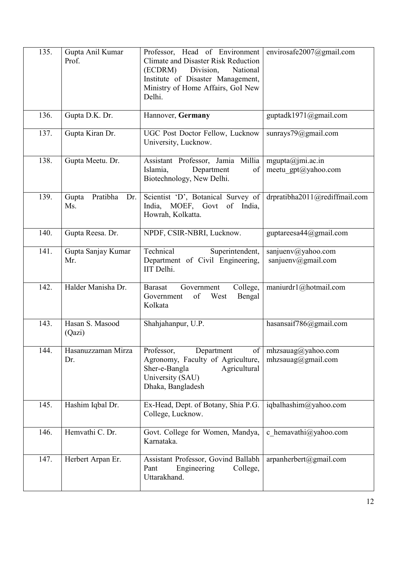| 135. | Gupta Anil Kumar<br>Prof.       | Professor, Head of Environment<br><b>Climate and Disaster Risk Reduction</b><br>Division,<br>(ECDRM)<br>National<br>Institute of Disaster Management,<br>Ministry of Home Affairs, GoI New<br>Delhi. | envirosafe2007@gmail.com                 |
|------|---------------------------------|------------------------------------------------------------------------------------------------------------------------------------------------------------------------------------------------------|------------------------------------------|
| 136. | Gupta D.K. Dr.                  | Hannover, Germany                                                                                                                                                                                    | guptadk1971@gmail.com                    |
| 137. | Gupta Kiran Dr.                 | UGC Post Doctor Fellow, Lucknow<br>University, Lucknow.                                                                                                                                              | sunrays79@gmail.com                      |
| 138. | Gupta Meetu. Dr.                | Assistant Professor, Jamia Millia<br>Islamia,<br>of<br>Department<br>Biotechnology, New Delhi.                                                                                                       | mgupta@jmi.ac.in<br>meetu gpt@yahoo.com  |
| 139. | Pratibha<br>Gupta<br>Dr.<br>Ms. | Scientist 'D', Botanical Survey of<br>India,<br>MOEF, Govt of<br>India,<br>Howrah, Kolkatta.                                                                                                         | drpratibha2011@rediffmail.com            |
| 140. | Gupta Reesa. Dr.                | NPDF, CSIR-NBRI, Lucknow.                                                                                                                                                                            | guptareesa $44@g$ mail.com               |
| 141. | Gupta Sanjay Kumar<br>Mr.       | Technical<br>Superintendent,<br>Department of Civil Engineering,<br>IIT Delhi.                                                                                                                       | sanjuenv@yahoo.com<br>sanjuenv@gmail.com |
| 142. | Halder Manisha Dr.              | Government<br>College,<br><b>Barasat</b><br>of<br>West<br>Bengal<br>Government<br>Kolkata                                                                                                            | maniurdr1@hotmail.com                    |
| 143. | Hasan S. Masood<br>(Qazi)       | Shahjahanpur, U.P.                                                                                                                                                                                   | hasansaif786@gmail.com                   |
| 144. | Hasanuzzaman Mirza<br>Dr.       | Professor,<br>Department<br>of<br>Agronomy, Faculty of Agriculture,<br>Sher-e-Bangla<br>Agricultural<br>University (SAU)<br>Dhaka, Bangladesh                                                        | mhzsauag@yahoo.com<br>mhzsauag@gmail.com |
| 145. | Hashim Iqbal Dr.                | Ex-Head, Dept. of Botany, Shia P.G.<br>College, Lucknow.                                                                                                                                             | iqbalhashim@yahoo.com                    |
| 146. | Hemvathi C. Dr.                 | Govt. College for Women, Mandya,<br>Karnataka.                                                                                                                                                       | c hemavathi@yahoo.com                    |
| 147. | Herbert Arpan Er.               | Assistant Professor, Govind Ballabh<br>Pant<br>College,<br>Engineering<br>Uttarakhand.                                                                                                               | arpanherbert@gmail.com                   |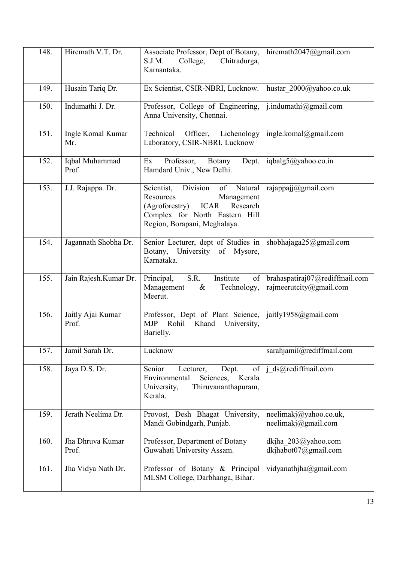| 148. | Hiremath V.T. Dr.          | Associate Professor, Dept of Botany,<br>S.J.M.<br>College,<br>Chitradurga,<br>Karnantaka.                                                                                      | hiremath2047@gmail.com                                            |
|------|----------------------------|--------------------------------------------------------------------------------------------------------------------------------------------------------------------------------|-------------------------------------------------------------------|
| 149. | Husain Tariq Dr.           | Ex Scientist, CSIR-NBRI, Lucknow.                                                                                                                                              | hustar_2000@yahoo.co.uk                                           |
| 150. | Indumathi J. Dr.           | Professor, College of Engineering,<br>Anna University, Chennai.                                                                                                                | j.indumathi@gmail.com                                             |
| 151. | Ingle Komal Kumar<br>Mr.   | Technical<br>Officer,<br>Lichenology<br>Laboratory, CSIR-NBRI, Lucknow                                                                                                         | ingle.komal@gmail.com                                             |
| 152. | Iqbal Muhammad<br>Prof.    | Professor,<br>Ex<br>Dept.<br>Botany<br>Hamdard Univ., New Delhi.                                                                                                               | iqbalg5@yahoo.co.in                                               |
| 153. | J.J. Rajappa. Dr.          | Division<br>of Natural<br>Scientist,<br>Resources<br>Management<br>(Agroforestry)<br><b>ICAR</b><br>Research<br>Complex for North Eastern Hill<br>Region, Borapani, Meghalaya. | rajappajj@gmail.com                                               |
| 154. | Jagannath Shobha Dr.       | Senior Lecturer, dept of Studies in<br>Botany, University of Mysore,<br>Karnataka.                                                                                             | shobhajaga25@gmail.com                                            |
| 155. | Jain Rajesh.Kumar Dr.      | S.R.<br>Institute<br>Principal,<br>of<br>Management<br>Technology,<br>$\&$<br>Meerut.                                                                                          | brahaspatiraj07@rediffmail.com<br>rajmeerutcity@gmail.com         |
| 156. | Jaitly Ajai Kumar<br>Prof. | Professor, Dept of Plant Science,<br><b>MJP</b><br>Rohil<br>Khand<br>University,<br>Barielly.                                                                                  | jaitly1958@gmail.com                                              |
| 157. | Jamil Sarah Dr.            | Lucknow                                                                                                                                                                        | sarahjamil@rediffmail.com                                         |
| 158. | Jaya D.S. Dr.              | Senior<br>Lecturer,<br>Dept.<br>of<br>Environmental<br>Sciences,<br>Kerala<br>University,<br>Thiruvananthapuram,<br>Kerala.                                                    | j_ds@rediffmail.com                                               |
| 159. | Jerath Neelima Dr.         | Provost, Desh Bhagat University,<br>Mandi Gobindgarh, Punjab.                                                                                                                  | neelimakj@yahoo.co.uk,<br>neelimakj $(\partial \text{gmail.com})$ |
| 160. | Jha Dhruva Kumar<br>Prof.  | Professor, Department of Botany<br>Guwahati University Assam.                                                                                                                  | dkjha 203@yahoo.com<br>dkjhabot07@gmail.com                       |
| 161. | Jha Vidya Nath Dr.         | Professor of Botany & Principal<br>MLSM College, Darbhanga, Bihar.                                                                                                             | vidyanathjha@gmail.com                                            |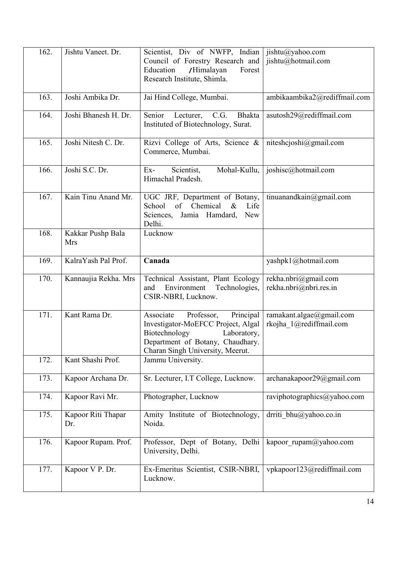| 162. | Jishtu Vaneet. Dr.        | Scientist, Div of NWFP, Indian<br>Council of Forestry Research and<br>Education<br>/Himalayan<br>Forest<br>Research Institute, Shimla.                                             | jishtu@yahoo.com<br>jishtu@hotmail.com              |
|------|---------------------------|------------------------------------------------------------------------------------------------------------------------------------------------------------------------------------|-----------------------------------------------------|
| 163. | Joshi Ambika Dr.          | Jai Hind College, Mumbai.                                                                                                                                                          | ambikaambika2@rediffmail.com                        |
| 164. | Joshi Bhanesh H. Dr.      | C.G.<br>Senior<br>Lecturer,<br><b>Bhakta</b><br>Instituted of Biotechnology, Surat.                                                                                                | asutosh29@rediffmail.com                            |
| 165. | Joshi Nitesh C. Dr.       | Rizvi College of Arts, Science &<br>Commerce, Mumbai.                                                                                                                              | niteshcjoshi@gmail.com                              |
| 166. | Joshi S.C. Dr.            | Mohal-Kullu,<br>Scientist,<br>$Ex-$<br>Himachal Pradesh.                                                                                                                           | joshisc@hotmail.com                                 |
| 167. | Kain Tinu Anand Mr.       | UGC JRF, Department of Botany,<br>Chemical<br>School<br>of<br>$\&$<br>Life<br>Sciences,<br>Jamia Hamdard,<br><b>New</b><br>Delhi.                                                  | tinuanandkain@gmail.com                             |
| 168. | Kakkar Pushp Bala<br>Mrs  | Lucknow                                                                                                                                                                            |                                                     |
| 169. | KalraYash Pal Prof.       | Canada                                                                                                                                                                             | yashpk1@hotmail.com                                 |
| 170. | Kannaujia Rekha. Mrs      | Technical Assistant, Plant Ecology<br>and<br>Environment<br>Technologies,<br>CSIR-NBRI, Lucknow.                                                                                   | rekha.nbri@gmail.com<br>rekha.nbri@nbri.res.in      |
| 171. | Kant Rama Dr.             | Professor,<br>Principal<br>Associate<br>Investigator-MoEFCC Project, Algal<br>Biotechnology<br>Laboratory,<br>Department of Botany, Chaudhary.<br>Charan Singh University, Meerut. | ramakant.algae@gmail.com<br>rkojha 1@rediffmail.com |
| 172. | Kant Shashi Prof.         | Jammu University.                                                                                                                                                                  |                                                     |
| 173. | Kapoor Archana Dr.        | Sr. Lecturer, I.T College, Lucknow.                                                                                                                                                | archanakapoor29@gmail.com                           |
| 174. | Kapoor Ravi Mr.           | Photographer, Lucknow                                                                                                                                                              | raviphotographics@yahoo.com                         |
| 175. | Kapoor Riti Thapar<br>Dr. | Amity Institute of Biotechnology,<br>Noida.                                                                                                                                        | drriti bhu@yahoo.co.in                              |
| 176. | Kapoor Rupam. Prof.       | Professor, Dept of Botany, Delhi<br>University, Delhi.                                                                                                                             | kapoor rupam@yahoo.com                              |
| 177. | Kapoor V P. Dr.           | Ex-Emeritus Scientist, CSIR-NBRI,<br>Lucknow.                                                                                                                                      | vpkapoor123@rediffmail.com                          |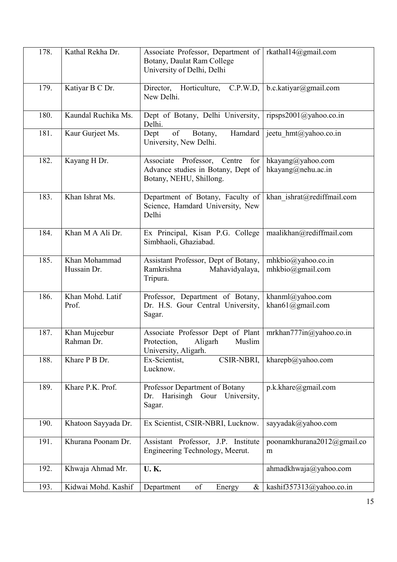| 178. | Kathal Rekha Dr.             | Associate Professor, Department of<br>Botany, Daulat Ram College<br>University of Delhi, Delhi   | rkathal14@gmail.com                     |
|------|------------------------------|--------------------------------------------------------------------------------------------------|-----------------------------------------|
| 179. | Katiyar B C Dr.              | Director, Horticulture,<br>C.P.W.D,<br>New Delhi.                                                | b.c.katiyar@gmail.com                   |
| 180. | Kaundal Ruchika Ms.          | Dept of Botany, Delhi University,<br>Delhi.                                                      | ripsps2001@yahoo.co.in                  |
| 181. | Kaur Gurjeet Ms.             | of<br>Hamdard<br>Dept<br>Botany,<br>University, New Delhi.                                       | jeetu hmt@yahoo.co.in                   |
| 182. | Kayang H Dr.                 | Associate Professor, Centre for<br>Advance studies in Botany, Dept of<br>Botany, NEHU, Shillong. | hkayang@yahoo.com<br>hkayang@nehu.ac.in |
| 183. | Khan Ishrat Ms.              | Department of Botany, Faculty of<br>Science, Hamdard University, New<br>Delhi                    | khan ishrat@rediffmail.com              |
| 184. | Khan M A Ali Dr.             | Ex Principal, Kisan P.G. College<br>Simbhaoli, Ghaziabad.                                        | maalikhan@rediffmail.com                |
| 185. | Khan Mohammad<br>Hussain Dr. | Assistant Professor, Dept of Botany,<br>Ramkrishna<br>Mahavidyalaya,<br>Tripura.                 | mhkbio@yahoo.co.in<br>mhkbio@gmail.com  |
| 186. | Khan Mohd. Latif<br>Prof.    | Professor, Department of Botany,<br>Dr. H.S. Gour Central University,<br>Sagar.                  | khanml@yahoo.com<br>khan61@gmail.com    |
| 187. | Khan Mujeebur<br>Rahman Dr.  | Associate Professor Dept of Plant<br>Aligarh<br>Muslim<br>Protection,<br>University, Aligarh.    | mrkhan777in@yahoo.co.in                 |
| 188. | Khare P B Dr.                | CSIR-NBRI,<br>Ex-Scientist,<br>Lucknow.                                                          | kharepb@yahoo.com                       |
| 189. | Khare P.K. Prof.             | Professor Department of Botany<br>Harisingh Gour<br>University,<br>Dr.<br>Sagar.                 | p.k.khare@gmail.com                     |
| 190. | Khatoon Sayyada Dr.          | Ex Scientist, CSIR-NBRI, Lucknow.                                                                | sayyadak@yahoo.com                      |
| 191. | Khurana Poonam Dr.           | Assistant Professor, J.P. Institute<br>Engineering Technology, Meerut.                           | poonamkhurana2012@gmail.co<br>m         |
| 192. | Khwaja Ahmad Mr.             | <b>U.K.</b>                                                                                      | ahmadkhwaja@yahoo.com                   |
| 193. | Kidwai Mohd. Kashif          | of<br>Department<br>Energy<br>$\&$                                                               | kashif357313@yahoo.co.in                |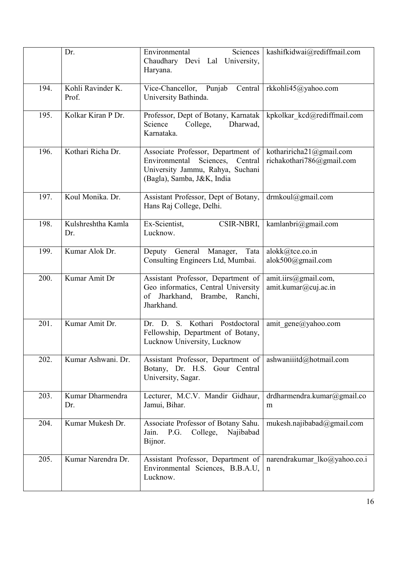|      | Dr.                        | Sciences<br>Environmental<br>Chaudhary Devi Lal University,<br>Haryana.                                                                 | kashifkidwai@rediffmail.com                               |
|------|----------------------------|-----------------------------------------------------------------------------------------------------------------------------------------|-----------------------------------------------------------|
| 194. | Kohli Ravinder K.<br>Prof. | Vice-Chancellor, Punjab Central<br>University Bathinda.                                                                                 | rkkohli45@yahoo.com                                       |
| 195. | Kolkar Kiran P Dr.         | Professor, Dept of Botany, Karnatak<br>College,<br>Dharwad,<br>Science<br>Karnataka.                                                    | kpkolkar kcd@rediffmail.com                               |
| 196. | Kothari Richa Dr.          | Associate Professor, Department of<br>Environmental Sciences, Central<br>University Jammu, Rahya, Suchani<br>(Bagla), Samba, J&K, India | kothariricha $21$ @gmail.com<br>richakothari786@gmail.com |
| 197. | Koul Monika. Dr.           | Assistant Professor, Dept of Botany,<br>Hans Raj College, Delhi.                                                                        | drmkoul@gmail.com                                         |
| 198. | Kulshreshtha Kamla<br>Dr.  | CSIR-NBRI,<br>Ex-Scientist,<br>Lucknow.                                                                                                 | kamlanbri@gmail.com                                       |
| 199. | Kumar Alok Dr.             | Tata<br>Deputy General Manager,<br>Consulting Engineers Ltd, Mumbai.                                                                    | alokk@tce.co.in<br>alok500@gmail.com                      |
| 200. | Kumar Amit Dr              | Assistant Professor, Department of<br>Geo informatics, Central University<br>of Jharkhand, Brambe, Ranchi,<br>Jharkhand.                | amit.iirs@gmail.com,<br>amit.kumar@cuj.ac.in              |
| 201. | Kumar Amit Dr.             | S. Kothari Postdoctoral<br>D.<br>Dr.<br>Fellowship, Department of Botany,<br>Lucknow University, Lucknow                                | amit gene@yahoo.com                                       |
| 202. | Kumar Ashwani. Dr.         | Assistant Professor, Department of<br>Botany, Dr. H.S. Gour Central<br>University, Sagar.                                               | ashwaniiitd@hotmail.com                                   |
| 203. | Kumar Dharmendra<br>Dr.    | Lecturer, M.C.V. Mandir Gidhaur,<br>Jamui, Bihar.                                                                                       | drdharmendra.kumar@gmail.co<br>m                          |
| 204. | Kumar Mukesh Dr.           | Associate Professor of Botany Sahu.<br>P.G.<br>College,<br>Najibabad<br>Jain.<br>Bijnor.                                                | mukesh.najibabad@gmail.com                                |
| 205. | Kumar Narendra Dr.         | Assistant Professor, Department of<br>Environmental Sciences, B.B.A.U,<br>Lucknow.                                                      | narendrakumar_lko@yahoo.co.i<br>n                         |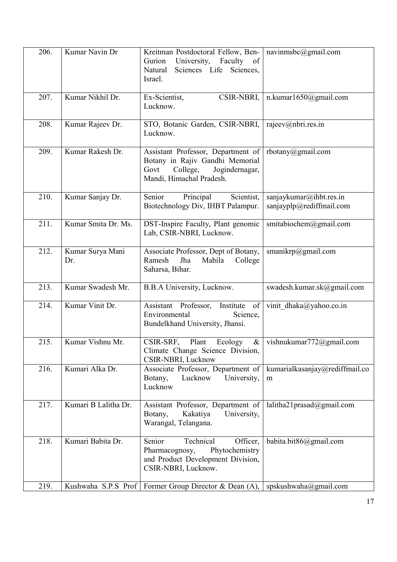| 206. | Kumar Navin Dr          | Kreitman Postdoctoral Fellow, Ben-<br>of<br>University,<br>Gurion<br>Faculty<br>Natural<br>Sciences Life Sciences,<br>Israel.           | navinmsbc@gmail.com                                 |
|------|-------------------------|-----------------------------------------------------------------------------------------------------------------------------------------|-----------------------------------------------------|
| 207. | Kumar Nikhil Dr.        | Ex-Scientist,<br>CSIR-NBRI,<br>Lucknow.                                                                                                 | n.kumar1650@gmail.com                               |
| 208. | Kumar Rajeev Dr.        | STO, Botanic Garden, CSIR-NBRI,<br>Lucknow.                                                                                             | rajeev@nbri.res.in                                  |
| 209. | Kumar Rakesh Dr.        | Assistant Professor, Department of<br>Botany in Rajiv Gandhi Memorial<br>Govt<br>College,<br>Jogindernagar,<br>Mandi, Himachal Pradesh. | rbotany@gmail.com                                   |
| 210. | Kumar Sanjay Dr.        | Principal<br>Scientist,<br>Senior<br>Biotechnology Div, IHBT Palampur.                                                                  | sanjaykumar@ihbt.res.in<br>sanjayplp@rediffmail.com |
| 211. | Kumar Smita Dr. Ms.     | DST-Inspire Faculty, Plant genomic<br>Lab, CSIR-NBRI, Lucknow.                                                                          | smitabiochem@gmail.com                              |
| 212. | Kumar Surya Mani<br>Dr. | Associate Professor, Dept of Botany,<br>Ramesh<br>Jha<br>Mahila<br>College<br>Saharsa, Bihar.                                           | smanikrp@gmail.com                                  |
| 213. | Kumar Swadesh Mr.       | B.B.A University, Lucknow.                                                                                                              | swadesh.kumar.sk@gmail.com                          |
| 214. | Kumar Vinit Dr.         | Assistant Professor, Institute<br>of<br>Environmental<br>Science,<br>Bundelkhand University, Jhansi.                                    | vinit dhaka@yahoo.co.in                             |
| 215. | Kumar Vishnu Mr.        | CSIR-SRF,<br>Plant<br>Ecology<br>$\&$<br>Climate Change Science Division,<br>CSIR-NBRI, Lucknow                                         | vishnukumar772@gmail.com                            |
| 216. | Kumari Alka Dr.         | Associate Professor, Department of<br>Lucknow<br>Botany,<br>University,<br>Lucknow                                                      | kumarialkasanjay@rediffmail.co<br>m                 |
| 217. | Kumari B Lalitha Dr.    | Assistant Professor, Department of<br>Kakatiya<br>Botany,<br>University,<br>Warangal, Telangana.                                        | lalitha21prasad@gmail.com                           |
| 218. | Kumari Babita Dr.       | Technical<br>Officer,<br>Senior<br>Pharmacognosy,<br>Phytochemistry<br>and Product Development Division,<br>CSIR-NBRI, Lucknow.         | babita.bit86@gmail.com                              |
| 219. | Kushwaha S.P.S Prof     | Former Group Director & Dean (A),                                                                                                       | spskushwaha@gmail.com                               |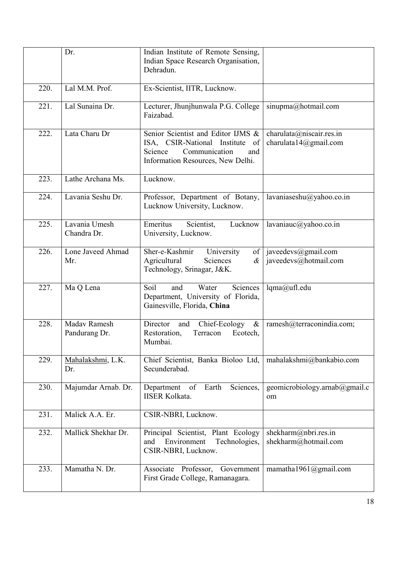|      | Dr.                           | Indian Institute of Remote Sensing,<br>Indian Space Research Organisation,<br>Dehradun.                                                          |                                                   |
|------|-------------------------------|--------------------------------------------------------------------------------------------------------------------------------------------------|---------------------------------------------------|
| 220. | Lal M.M. Prof.                | Ex-Scientist, IITR, Lucknow.                                                                                                                     |                                                   |
| 221. | Lal Sunaina Dr.               | Lecturer, Jhunjhunwala P.G. College<br>Faizabad.                                                                                                 | sinupma@hotmail.com                               |
| 222. | Lata Charu Dr                 | Senior Scientist and Editor IJMS &<br>ISA, CSIR-National Institute<br>of<br>Communication<br>Science<br>and<br>Information Resources, New Delhi. | charulata@niscair.res.in<br>charulata14@gmail.com |
| 223. | Lathe Archana Ms.             | Lucknow.                                                                                                                                         |                                                   |
| 224. | Lavania Seshu Dr.             | Professor, Department of Botany,<br>Lucknow University, Lucknow.                                                                                 | lavaniaseshu@yahoo.co.in                          |
| 225. | Lavania Umesh<br>Chandra Dr.  | Emeritus<br>Scientist,<br>Lucknow<br>University, Lucknow.                                                                                        | lavaniauc@yahoo.co.in                             |
| 226. | Lone Javeed Ahmad<br>Mr.      | Sher-e-Kashmir<br>University<br>of<br>Agricultural<br>Sciences<br>$\alpha$<br>Technology, Srinagar, J&K.                                         | javeedevs@gmail.com<br>javeedevs@hotmail.com      |
| 227. | Ma Q Lena                     | Soil<br>Water<br>Sciences<br>and<br>Department, University of Florida,<br>Gainesville, Florida, China                                            | lqma@ufl.edu                                      |
| 228. | Madav Ramesh<br>Pandurang Dr. | Director<br>Chief-Ecology<br>$\&$<br>and<br>Restoration,<br>Ecotech,<br>Terracon<br>Mumbai.                                                      | ramesh@terraconindia.com;                         |
| 229. | Mahalakshmi, L.K.<br>Dr.      | Chief Scientist, Banka Bioloo Ltd,<br>Secunderabad.                                                                                              | mahalakshmi@bankabio.com                          |
| 230. | Majumdar Arnab. Dr.           | of<br>Sciences,<br>Department<br>Earth<br><b>IISER Kolkata.</b>                                                                                  | geomicrobiology.arnab@gmail.c<br>om               |
| 231. | Malick A.A. Er.               | CSIR-NBRI, Lucknow.                                                                                                                              |                                                   |
| 232. | Mallick Shekhar Dr.           | Principal Scientist, Plant Ecology<br>Environment<br>Technologies,<br>and<br>CSIR-NBRI, Lucknow.                                                 | shekharm@nbri.res.in<br>shekharm@hotmail.com      |
| 233. | Mamatha N. Dr.                | Associate Professor, Government<br>First Grade College, Ramanagara.                                                                              | mamatha1961@gmail.com                             |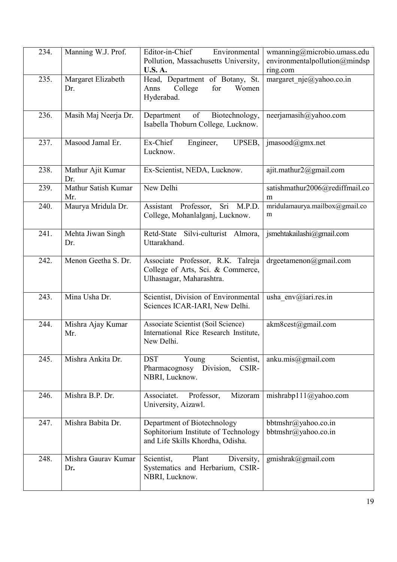| 234. | Manning W.J. Prof.         | Editor-in-Chief<br>Environmental<br>Pollution, Massachusetts University,<br><b>U.S. A.</b>             | wmanning@microbio.umass.edu<br>environmentalpollution@mindsp<br>ring.com |
|------|----------------------------|--------------------------------------------------------------------------------------------------------|--------------------------------------------------------------------------|
| 235. | Margaret Elizabeth<br>Dr.  | Head, Department of Botany, St.<br>College<br>Women<br>for<br>Anns<br>Hyderabad.                       | margaret nje@yahoo.co.in                                                 |
| 236. | Masih Maj Neerja Dr.       | of<br>Biotechnology,<br>Department<br>Isabella Thoburn College, Lucknow.                               | neerjamasih@yahoo.com                                                    |
| 237. | Masood Jamal Er.           | Ex-Chief<br>Engineer,<br>UPSEB,<br>Lucknow.                                                            | $\text{imasood}(a)$ gmx.net                                              |
| 238. | Mathur Ajit Kumar<br>Dr.   | Ex-Scientist, NEDA, Lucknow.                                                                           | ajit.mathur2@gmail.com                                                   |
| 239. | Mathur Satish Kumar<br>Mr. | New Delhi                                                                                              | satishmathur2006@rediffmail.co<br>m                                      |
| 240. | Maurya Mridula Dr.         | Assistant Professor,<br>Sri M.P.D.<br>College, Mohanlalganj, Lucknow.                                  | mridulamaurya.mailbox@gmail.co<br>m                                      |
| 241. | Mehta Jiwan Singh<br>Dr.   | Retd-State Silvi-culturist Almora,<br>Uttarakhand.                                                     | jsmehtakailashi@gmail.com                                                |
| 242. | Menon Geetha S. Dr.        | Associate Professor, R.K. Talreja<br>College of Arts, Sci. & Commerce,<br>Ulhasnagar, Maharashtra.     | drgeetamenon@gmail.com                                                   |
| 243. | Mina Usha Dr.              | Scientist, Division of Environmental<br>Sciences ICAR-IARI, New Delhi.                                 | usha env@iari.res.in                                                     |
| 244. | Mishra Ajay Kumar<br>Mr.   | Associate Scientist (Soil Science)<br>International Rice Research Institute,<br>New Delhi.             | akm8cest@gmail.com                                                       |
| 245. | Mishra Ankita Dr.          | <b>DST</b><br>Scientist,<br>Young<br>Pharmacognosy Division,<br>CSIR-<br>NBRI, Lucknow.                | anku.mis@gmail.com                                                       |
| 246. | Mishra B.P. Dr.            | Associatet.<br>Professor,<br>Mizoram<br>University, Aizawl.                                            | mishrabp111@yahoo.com                                                    |
| 247. | Mishra Babita Dr.          | Department of Biotechnology<br>Sophitorium Institute of Technology<br>and Life Skills Khordha, Odisha. | bbtmshr@yahoo.co.in<br>bbtmshr@yahoo.co.in                               |
| 248. | Mishra Gauray Kumar<br>Dr. | Scientist,<br>Plant<br>Diversity,<br>Systematics and Herbarium, CSIR-<br>NBRI, Lucknow.                | gmishrak@gmail.com                                                       |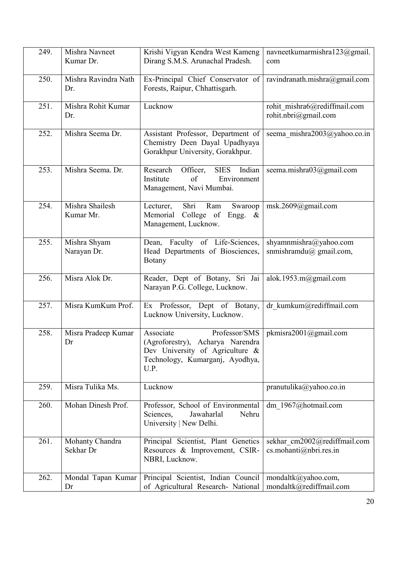| 249. | Mishra Navneet<br>Kumar Dr.  | Krishi Vigyan Kendra West Kameng<br>Dirang S.M.S. Arunachal Pradesh.                                                                            | navneetkumarmishra123@gmail.<br>com                       |
|------|------------------------------|-------------------------------------------------------------------------------------------------------------------------------------------------|-----------------------------------------------------------|
| 250. | Mishra Ravindra Nath<br>Dr.  | Ex-Principal Chief Conservator of<br>Forests, Raipur, Chhattisgarh.                                                                             | ravindranath.mishra@gmail.com                             |
| 251. | Mishra Rohit Kumar<br>Dr.    | Lucknow                                                                                                                                         | rohit mishra6@rediffmail.com<br>rohit.nbri@gmail.com      |
| 252. | Mishra Seema Dr.             | Assistant Professor, Department of<br>Chemistry Deen Dayal Upadhyaya<br>Gorakhpur University, Gorakhpur.                                        | seema mishra2003@yahoo.co.in                              |
| 253. | Mishra Seema. Dr.            | Research<br>Officer,<br><b>SIES</b><br>Indian<br>Institute<br>Environment<br>of<br>Management, Navi Mumbai.                                     | seema.mishra03@gmail.com                                  |
| 254. | Mishra Shailesh<br>Kumar Mr. | Shri<br>Ram<br>Lecturer,<br>Swaroop<br>Memorial<br>College of<br>Engg.<br>$\&$<br>Management, Lucknow.                                          | msk.2609@gmail.com                                        |
| 255. | Mishra Shyam<br>Narayan Dr.  | Dean, Faculty of Life-Sciences,<br>Head Departments of Biosciences,<br>Botany                                                                   | shyamnmishra@yahoo.com<br>snmishramdu $\omega$ gmail.com, |
| 256. | Misra Alok Dr.               | Reader, Dept of Botany, Sri Jai<br>Narayan P.G. College, Lucknow.                                                                               | alok.1953.m@gmail.com                                     |
| 257. | Misra KumKum Prof.           | Ex Professor, Dept of Botany,<br>Lucknow University, Lucknow.                                                                                   | dr kumkum@rediffmail.com                                  |
| 258. | Misra Pradeep Kumar<br>Dr    | Associate<br>Professor/SMS<br>(Agroforestry),<br>Acharya Narendra<br>Dev University of Agriculture &<br>Technology, Kumarganj, Ayodhya,<br>U.P. | pkmisra2001@gmail.com                                     |
| 259. | Misra Tulika Ms.             | Lucknow                                                                                                                                         | pranutulika@yahoo.co.in                                   |
| 260. | Mohan Dinesh Prof.           | Professor, School of Environmental<br>Sciences,<br>Nehru<br>Jawaharlal<br>University   New Delhi.                                               | dm 1967@hotmail.com                                       |
| 261. | Mohanty Chandra<br>Sekhar Dr | Principal Scientist, Plant Genetics<br>Resources & Improvement, CSIR-<br>NBRI, Lucknow.                                                         | sekhar cm2002@rediffmail.com<br>cs.mohanti@nbri.res.in    |
| 262. | Mondal Tapan Kumar<br>Dr     | Principal Scientist, Indian Council<br>of Agricultural Research- National                                                                       | mondaltk@yahoo.com,<br>mondaltk@rediffmail.com            |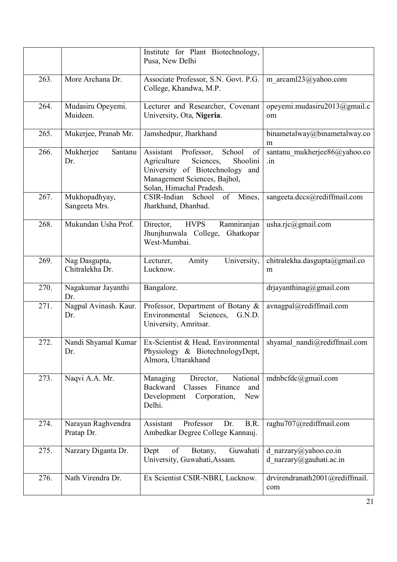|      |                                  | Institute for Plant Biotechnology,<br>Pusa, New Delhi                                                                                                                             |                                                  |
|------|----------------------------------|-----------------------------------------------------------------------------------------------------------------------------------------------------------------------------------|--------------------------------------------------|
| 263. | More Archana Dr.                 | Associate Professor, S.N. Govt. P.G.<br>College, Khandwa, M.P.                                                                                                                    | m arcaml23@yahoo.com                             |
| 264. | Mudasiru Opeyemi.<br>Muideen.    | Lecturer and Researcher, Covenant<br>University, Ota, Nigeria.                                                                                                                    | opeyemi.mudasiru2013@gmail.c<br>om               |
| 265. | Mukerjee, Pranab Mr.             | Jamshedpur, Jharkhand                                                                                                                                                             | binametalway@binametalway.co<br>m                |
| 266. | Mukherjee<br>Santanu<br>Dr.      | Assistant<br>Professor,<br>of<br>School<br>Shoolini<br>Agriculture<br>Sciences,<br>University of Biotechnology<br>and<br>Management Sciences, Bajhol,<br>Solan, Himachal Pradesh. | santanu_mukherjee86@yahoo.co<br>.in              |
| 267. | Mukhopadhyay,<br>Sangeeta Mrs.   | of<br>Mines,<br>CSIR-Indian<br>School<br>Jharkhand, Dhanbad.                                                                                                                      | sangeeta.dccs@rediffmail.com                     |
| 268. | Mukundan Usha Prof.              | <b>HVPS</b><br>Ramniranjan<br>Director,<br>Jhunjhunwala College,<br>Ghatkopar<br>West-Mumbai.                                                                                     | usha.rjc@gmail.com                               |
| 269. | Nag Dasgupta,<br>Chitralekha Dr. | University,<br>Lecturer,<br>Amity<br>Lucknow.                                                                                                                                     | chitralekha.dasgupta@gmail.co<br>m               |
| 270. | Nagakumar Jayanthi<br>Dr.        | Bangalore.                                                                                                                                                                        | drjayanthinag@gmail.com                          |
| 271. | Nagpal Avinash. Kaur.<br>Dr.     | Professor, Department of Botany &<br>Environmental<br>Sciences,<br>G.N.D.<br>University, Amritsar.                                                                                | avnagpal@rediffmail.com                          |
| 272. | Nandi Shyamal Kumar<br>Dr.       | Ex-Scientist & Head, Environmental   shyamal_nandi@rediffmail.com<br>Physiology & BiotechnologyDept,<br>Almora, Uttarakhand                                                       |                                                  |
| 273. | Naqvi A.A. Mr.                   | National<br>Managing<br>Director,<br><b>Backward</b><br>Classes<br>Finance<br>and<br>Development<br>Corporation,<br><b>New</b><br>Delhi.                                          | mdnbcfdc@gmail.com                               |
| 274. | Narayan Raghvendra<br>Pratap Dr. | Professor<br>B.R.<br>Assistant<br>Dr.<br>Ambedkar Degree College Kannauj.                                                                                                         | raghu707@rediffmail.com                          |
| 275. | Narzary Diganta Dr.              | Guwahati<br>Dept<br>of<br>Botany,<br>University, Guwahati, Assam.                                                                                                                 | d narzary@yahoo.co.in<br>d narzary@gauhati.ac.in |
| 276. | Nath Virendra Dr.                | Ex Scientist CSIR-NBRI, Lucknow.                                                                                                                                                  | drvirendranath2001@rediffmail.<br>com            |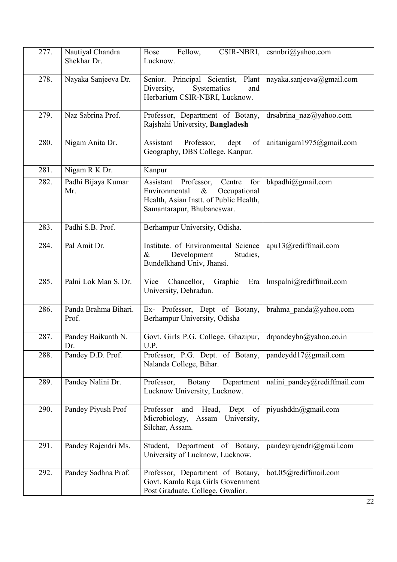| 277. | Nautiyal Chandra<br>Shekhar Dr. | Fellow,<br>CSIR-NBRI,<br>Bose<br>Lucknow.                                                                                                                 | csnnbri@yahoo.com            |
|------|---------------------------------|-----------------------------------------------------------------------------------------------------------------------------------------------------------|------------------------------|
| 278. | Nayaka Sanjeeva Dr.             | Senior. Principal Scientist, Plant<br>Diversity,<br>Systematics<br>and<br>Herbarium CSIR-NBRI, Lucknow.                                                   | nayaka.sanjeeva@gmail.com    |
| 279. | Naz Sabrina Prof.               | Professor, Department of Botany,<br>Rajshahi University, Bangladesh                                                                                       | drsabrina naz@yahoo.com      |
| 280. | Nigam Anita Dr.                 | Assistant<br>Professor,<br>dept<br>of<br>Geography, DBS College, Kanpur.                                                                                  | anitanigam1975@gmail.com     |
| 281. | Nigam R K Dr.                   | Kanpur                                                                                                                                                    |                              |
| 282. | Padhi Bijaya Kumar<br>Mr.       | Assistant<br>Centre<br>for<br>Professor,<br>Environmental<br>$\&$<br>Occupational<br>Health, Asian Instt. of Public Health,<br>Samantarapur, Bhubaneswar. | bkpadhi@gmail.com            |
| 283. | Padhi S.B. Prof.                | Berhampur University, Odisha.                                                                                                                             |                              |
| 284. | Pal Amit Dr.                    | Institute. of Environmental Science<br>Development<br>Studies,<br>&<br>Bundelkhand Univ, Jhansi.                                                          | apu13@rediffmail.com         |
| 285. | Palni Lok Man S. Dr.            | Vice<br>Chancellor,<br>Graphic<br>Era<br>University, Dehradun.                                                                                            | lmspalni@rediffmail.com      |
| 286. | Panda Brahma Bihari.<br>Prof.   | Ex- Professor, Dept of Botany,<br>Berhampur University, Odisha                                                                                            | brahma panda@yahoo.com       |
| 287. | Pandey Baikunth N.<br>Dr.       | Govt. Girls P.G. College, Ghazipur,<br>U.P.                                                                                                               | drpandeybn@yahoo.co.in       |
| 288. | Pandey D.D. Prof.               | Professor, P.G. Dept. of Botany,<br>Nalanda College, Bihar.                                                                                               | pandeydd17@gmail.com         |
| 289. | Pandey Nalini Dr.               | Department<br>Professor,<br>Botany<br>Lucknow University, Lucknow.                                                                                        | nalini pandey@rediffmail.com |
| 290. | Pandey Piyush Prof              | Head,<br>Professor<br>Dept<br>of<br>and<br>Microbiology,<br>Assam<br>University,<br>Silchar, Assam.                                                       | piyushddn@gmail.com          |
| 291. | Pandey Rajendri Ms.             | Student, Department of Botany,<br>University of Lucknow, Lucknow.                                                                                         | pandeyrajendri@gmail.com     |
| 292. | Pandey Sadhna Prof.             | Professor, Department of Botany,<br>Govt. Kamla Raja Girls Government<br>Post Graduate, College, Gwalior.                                                 | bot.05@rediffmail.com        |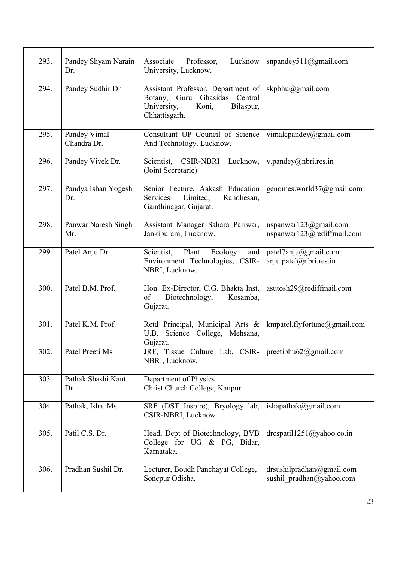| 293. | Pandey Shyam Narain<br>Dr.  | Associate<br>Lucknow<br>Professor,<br>University, Lucknow.                                                                         | snpandey511@gmail.com                                 |
|------|-----------------------------|------------------------------------------------------------------------------------------------------------------------------------|-------------------------------------------------------|
| 294. | Pandey Sudhir Dr            | Assistant Professor, Department of<br>Ghasidas<br>Guru<br>Central<br>Botany,<br>University,<br>Koni,<br>Bilaspur,<br>Chhattisgarh. | skpbhu@gmail.com                                      |
| 295. | Pandey Vimal<br>Chandra Dr. | Consultant UP Council of Science<br>And Technology, Lucknow.                                                                       | vimalcpandey@gmail.com                                |
| 296. | Pandey Vivek Dr.            | Scientist,<br>CSIR-NBRI Lucknow,<br>(Joint Secretarie)                                                                             | v.pandey@nbri.res.in                                  |
| 297. | Pandya Ishan Yogesh<br>Dr.  | Senior Lecture, Aakash Education<br>Randhesan,<br>Limited,<br>Services<br>Gandhinagar, Gujarat.                                    | genomes.world37@gmail.com                             |
| 298. | Panwar Naresh Singh<br>Mr.  | Assistant Manager Sahara Pariwar,<br>Jankipuram, Lucknow.                                                                          | nspanwar123@gmail.com<br>nspanwar123@rediffmail.com   |
| 299. | Patel Anju Dr.              | Scientist,<br>Plant<br>Ecology<br>and<br>Environment Technologies, CSIR-<br>NBRI, Lucknow.                                         | patel7anju@gmail.com<br>anju.patel@nbri.res.in        |
| 300. | Patel B.M. Prof.            | Hon. Ex-Director, C.G. Bhakta Inst.<br>Biotechnology,<br>Kosamba,<br>of<br>Gujarat.                                                | asutosh29@rediffmail.com                              |
| 301. | Patel K.M. Prof.            | Retd Principal, Municipal Arts &<br>Science College, Mehsana,<br>U.B.<br>Gujarat.                                                  | kmpatel.flyfortune@gmail.com                          |
| 302. | Patel Preeti Ms             | JRF, Tissue Culture Lab, CSIR-<br>NBRI, Lucknow.                                                                                   | preetibhu $62$ @gmail.com                             |
| 303. | Pathak Shashi Kant<br>Dr.   | Department of Physics<br>Christ Church College, Kanpur.                                                                            |                                                       |
| 304. | Pathak, Isha. Ms            | SRF (DST Inspire), Bryology lab,<br>CSIR-NBRI, Lucknow.                                                                            | ishapathak@gmail.com                                  |
| 305. | Patil C.S. Dr.              | Head, Dept of Biotechnology, BVB<br>College for UG & PG, Bidar,<br>Karnataka.                                                      | drcspatil1251@yahoo.co.in                             |
| 306. | Pradhan Sushil Dr.          | Lecturer, Boudh Panchayat College,<br>Sonepur Odisha.                                                                              | drsushilpradhan@gmail.com<br>sushil_pradhan@yahoo.com |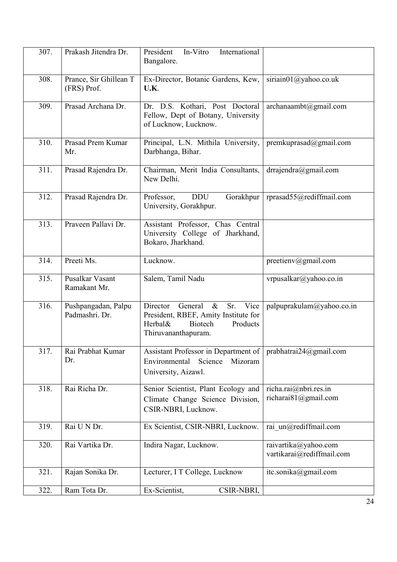| 307. | Prakash Jitendra Dr.                  | International<br>President<br>In-Vitro<br>Bangalore.                                                                                               |                                                   |
|------|---------------------------------------|----------------------------------------------------------------------------------------------------------------------------------------------------|---------------------------------------------------|
| 308. | Prance, Sir Ghillean T<br>(FRS) Prof. | Ex-Director, Botanic Gardens, Kew,<br>U.K.                                                                                                         | siriain01@yahoo.co.uk                             |
| 309. | Prasad Archana Dr.                    | Dr. D.S. Kothari, Post Doctoral<br>Fellow, Dept of Botany, University<br>of Lucknow, Lucknow.                                                      | archanaambt@gmail.com                             |
| 310. | Prasad Prem Kumar<br>Mr.              | Principal, L.N. Mithila University,<br>Darbhanga, Bihar.                                                                                           | premkuprasad@gmail.com                            |
| 311. | Prasad Rajendra Dr.                   | Chairman, Merit India Consultants,<br>New Delhi.                                                                                                   | drrajendra@gmail.com                              |
| 312. | Prasad Rajendra Dr.                   | <b>DDU</b><br>Professor,<br>Gorakhpur<br>University, Gorakhpur.                                                                                    | rprasad55@rediffmail.com                          |
| 313. | Praveen Pallavi Dr.                   | Assistant Professor, Chas Central<br>University College of Jharkhand,<br>Bokaro, Jharkhand.                                                        |                                                   |
| 314. | Preeti Ms.                            | Lucknow.                                                                                                                                           | preetienv@gmail.com                               |
| 315. | Pusalkar Vasant<br>Ramakant Mr.       | Salem, Tamil Nadu                                                                                                                                  | vrpusalkar@yahoo.co.in                            |
| 316. | Pushpangadan, Palpu<br>Padmashri. Dr. | Director<br>General<br>$\&$<br>Sr.<br>Vice<br>President, RBEF, Amity Institute for<br>Herbal&<br><b>Biotech</b><br>Products<br>Thiruvananthapuram. | palpuprakulam@yahoo.co.in                         |
| 317. | Rai Prabhat Kumar<br>Dr.              | Assistant Professor in Department of<br>Environmental<br>Science<br>Mizoram<br>University, Aizawl.                                                 | prabhatrai24@gmail.com                            |
| 318. | Rai Richa Dr.                         | Senior Scientist, Plant Ecology and<br>Climate Change Science Division,<br>CSIR-NBRI, Lucknow.                                                     | richa.rai@nbri.res.in<br>richarai $81@g$ mail.com |
| 319. | Rai U N Dr.                           | Ex Scientist, CSIR-NBRI, Lucknow.                                                                                                                  | rai un@rediffmail.com                             |
| 320. | Rai Vartika Dr.                       | Indira Nagar, Lucknow.                                                                                                                             | raivartika@yahoo.com<br>vartikarai@rediffmail.com |
| 321. | Rajan Sonika Dr.                      | Lecturer, I T College, Lucknow                                                                                                                     | itc.sonika@gmail.com                              |
| 322. | Ram Tota Dr.                          | Ex-Scientist,<br>CSIR-NBRI,                                                                                                                        |                                                   |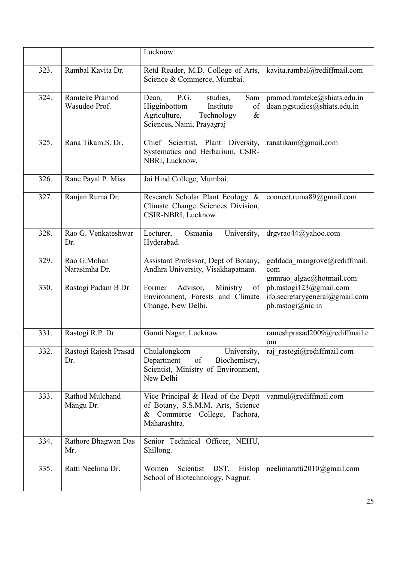|      |                                 | Lucknow.                                                                                                                                |                                                                                |
|------|---------------------------------|-----------------------------------------------------------------------------------------------------------------------------------------|--------------------------------------------------------------------------------|
| 323. | Rambal Kavita Dr.               | Retd Reader, M.D. College of Arts,<br>Science & Commerce, Mumbai.                                                                       | kavita.rambal@rediffmail.com                                                   |
| 324. | Ramteke Pramod<br>Wasudeo Prof. | P.G.<br>studies,<br>Sam<br>Dean,<br>Higginbottom<br>Institute<br>of<br>Agriculture,<br>Technology<br>$\&$<br>Sciences, Naini, Prayagraj | pramod.ramteke@shiats.edu.in<br>dean.pgstudies@shiats.edu.in                   |
| 325. | Rana Tikam.S. Dr.               | Chief Scientist, Plant Diversity,<br>Systematics and Herbarium, CSIR-<br>NBRI, Lucknow.                                                 | ranatikam@gmail.com                                                            |
| 326. | Rane Payal P. Miss              | Jai Hind College, Mumbai.                                                                                                               |                                                                                |
| 327. | Ranjan Ruma Dr.                 | Research Scholar Plant Ecology. &<br>Climate Change Sciences Division,<br>CSIR-NBRI, Lucknow                                            | connect.ruma89@gmail.com                                                       |
| 328. | Rao G. Venkateshwar<br>Dr.      | Osmania<br>University,<br>Lecturer,<br>Hyderabad.                                                                                       | drgvrao44@yahoo.com                                                            |
| 329. | Rao G.Mohan<br>Narasimha Dr.    | Assistant Professor, Dept of Botany,<br>Andhra University, Visakhapatnam.                                                               | geddada_mangrove@rediffmail.<br>com<br>gmnrao algae@hotmail.com                |
| 330. | Rastogi Padam B Dr.             | Advisor,<br>of<br>Former<br>Ministry<br>Environment, Forests and Climate<br>Change, New Delhi.                                          | pb.rastogi123@gmail.com<br>ifo.secretarygeneral@gmail.com<br>pb.rastogi@nic.in |
| 331. | Rastogi R.P. Dr.                | Gomti Nagar, Lucknow                                                                                                                    | rameshprasad2009@rediffmail.c<br>om                                            |
| 332. | Rastogi Rajesh Prasad<br>Dr.    | Chulalongkorn<br>University,<br>Department<br>Biochemistry,<br>of<br>Scientist, Ministry of Environment,<br>New Delhi                   | raj rastogi@rediffmail.com                                                     |
| 333. | Rathod Mulchand<br>Mangu Dr.    | Vice Principal & Head of the Deptt<br>of Botany, S.S.M.M. Arts, Science<br>Commerce College, Pachora,<br>&<br>Maharashtra.              | vanmul@rediffmail.com                                                          |
| 334. | Rathore Bhagwan Das<br>Mr.      | Senior Technical Officer, NEHU,<br>Shillong.                                                                                            |                                                                                |
| 335. | Ratti Neelima Dr.               | Women<br>Scientist<br>DST,<br>Hislop<br>School of Biotechnology, Nagpur.                                                                | neelimaratti2010@gmail.com                                                     |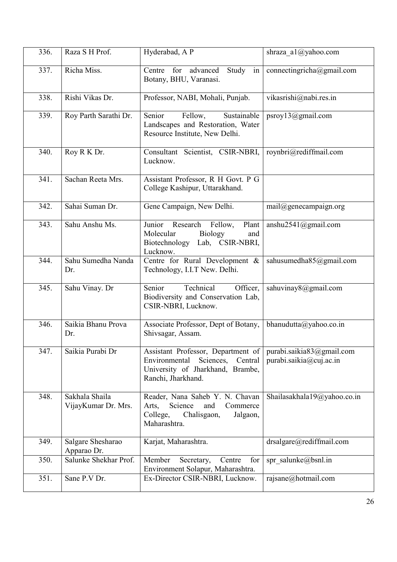| 336. | Raza SH Prof.                         | Hyderabad, A P                                                                                                                     | shraza al $@y$ ahoo.com                              |
|------|---------------------------------------|------------------------------------------------------------------------------------------------------------------------------------|------------------------------------------------------|
| 337. | Richa Miss.                           | in<br>Centre<br>for<br>advanced<br>Study<br>Botany, BHU, Varanasi.                                                                 | connectingricha@gmail.com                            |
| 338. | Rishi Vikas Dr.                       | Professor, NABI, Mohali, Punjab.                                                                                                   | vikasrishi@nabi.res.in                               |
| 339. | Roy Parth Sarathi Dr.                 | Senior<br>Sustainable<br>Fellow,<br>Landscapes and Restoration, Water<br>Resource Institute, New Delhi.                            | psroy13@gmail.com                                    |
| 340. | Roy R K Dr.                           | Consultant Scientist, CSIR-NBRI,<br>Lucknow.                                                                                       | roynbri@rediffmail.com                               |
| 341. | Sachan Reeta Mrs.                     | Assistant Professor, R H Govt. P G<br>College Kashipur, Uttarakhand.                                                               |                                                      |
| 342. | Sahai Suman Dr.                       | Gene Campaign, New Delhi.                                                                                                          | mail@genecampaign.org                                |
| 343. | Sahu Anshu Ms.                        | Junior<br>Research<br>Fellow,<br>Plant<br>Molecular<br><b>Biology</b><br>and<br>Biotechnology<br>Lab, CSIR-NBRI,<br>Lucknow.       | anshu2541@gmail.com                                  |
| 344. | Sahu Sumedha Nanda<br>Dr.             | Centre for Rural Development &<br>Technology, I.I.T New. Delhi.                                                                    | sahusumedha85@gmail.com                              |
| 345. | Sahu Vinay. Dr                        | Senior<br>Technical<br>Officer,<br>Biodiversity and Conservation Lab,<br>CSIR-NBRI, Lucknow.                                       | sahuvinay8@gmail.com                                 |
| 346. | Saikia Bhanu Prova<br>Dr.             | Associate Professor, Dept of Botany,<br>Shivsagar, Assam.                                                                          | bhanudutta@yahoo.co.in                               |
| 347. | Saikia Purabi Dr                      | Assistant Professor, Department of<br>Sciences, Central<br>Environmental<br>University of Jharkhand, Brambe,<br>Ranchi, Jharkhand. | purabi.saikia83@gmail.com<br>purabi.saikia@cuj.ac.in |
| 348. | Sakhala Shaila<br>VijayKumar Dr. Mrs. | Reader, Nana Saheb Y. N. Chavan<br>Science<br>and<br>Commerce<br>Arts,<br>College,<br>Chalisgaon,<br>Jalgaon,<br>Maharashtra.      | Shailasakhala19@yahoo.co.in                          |
| 349. | Salgare Shesharao<br>Apparao Dr.      | Karjat, Maharashtra.                                                                                                               | drsalgare@rediffmail.com                             |
| 350. | Salunke Shekhar Prof.                 | Member<br>Secretary,<br>Centre<br>for<br>Environment Solapur, Maharashtra.                                                         | spr salunke@bsnl.in                                  |
| 351. | Sane P.V Dr.                          | Ex-Director CSIR-NBRI, Lucknow.                                                                                                    | rajsane@hotmail.com                                  |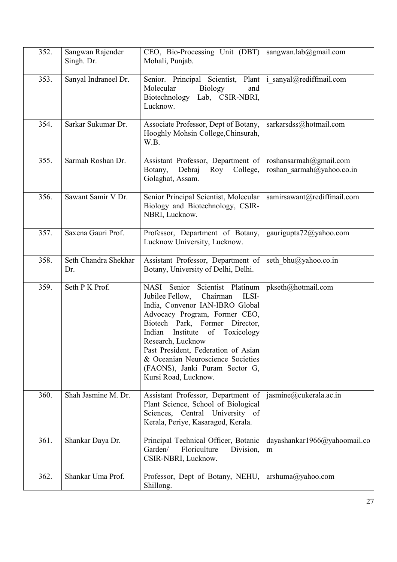| 352. | Sangwan Rajender<br>Singh. Dr. | CEO, Bio-Processing Unit (DBT)<br>Mohali, Punjab.                                                                                                                                                                                                                                                                                                                               | sangwan.lab@gmail.com                               |
|------|--------------------------------|---------------------------------------------------------------------------------------------------------------------------------------------------------------------------------------------------------------------------------------------------------------------------------------------------------------------------------------------------------------------------------|-----------------------------------------------------|
| 353. | Sanyal Indraneel Dr.           | Senior. Principal Scientist, Plant<br>Molecular<br><b>Biology</b><br>and<br>Biotechnology<br>Lab, CSIR-NBRI,<br>Lucknow.                                                                                                                                                                                                                                                        | i sanyal@rediffmail.com                             |
| 354. | Sarkar Sukumar Dr.             | Associate Professor, Dept of Botany,<br>Hooghly Mohsin College, Chinsurah,<br>W.B.                                                                                                                                                                                                                                                                                              | sarkarsdss@hotmail.com                              |
| 355. | Sarmah Roshan Dr.              | Assistant Professor, Department of<br>Botany,<br>Debraj<br>Roy<br>College,<br>Golaghat, Assam.                                                                                                                                                                                                                                                                                  | roshansarmah@gmail.com<br>roshan sarmah@yahoo.co.in |
| 356. | Sawant Samir V Dr.             | Senior Principal Scientist, Molecular<br>Biology and Biotechnology, CSIR-<br>NBRI, Lucknow.                                                                                                                                                                                                                                                                                     | samirsawant@rediffmail.com                          |
| 357. | Saxena Gauri Prof.             | Professor, Department of Botany,<br>Lucknow University, Lucknow.                                                                                                                                                                                                                                                                                                                | gaurigupta72@yahoo.com                              |
| 358. | Seth Chandra Shekhar<br>Dr.    | Assistant Professor, Department of<br>Botany, University of Delhi, Delhi.                                                                                                                                                                                                                                                                                                       | seth bhu@yahoo.co.in                                |
| 359. | Seth P K Prof.                 | NASI Senior Scientist Platinum<br>Chairman<br>Jubilee Fellow,<br>ILSI-<br>India, Convenor IAN-IBRO Global<br>Advocacy Program, Former CEO,<br>Biotech Park, Former Director,<br>Indian<br>Institute of<br>Toxicology<br>Research, Lucknow<br>Past President, Federation of Asian<br>& Oceanian Neuroscience Societies<br>(FAONS), Janki Puram Sector G,<br>Kursi Road, Lucknow. | pkseth@hotmail.com                                  |
| 360. | Shah Jasmine M. Dr.            | Assistant Professor, Department of<br>Plant Science, School of Biological<br>Sciences, Central University of<br>Kerala, Periye, Kasaragod, Kerala.                                                                                                                                                                                                                              | jasmine@cukerala.ac.in                              |
| 361. | Shankar Daya Dr.               | Principal Technical Officer, Botanic<br>Floriculture<br>Garden/<br>Division,<br>CSIR-NBRI, Lucknow.                                                                                                                                                                                                                                                                             | dayashankar1966@yahoomail.co<br>m                   |
| 362. | Shankar Uma Prof.              | Professor, Dept of Botany, NEHU,<br>Shillong.                                                                                                                                                                                                                                                                                                                                   | arshuma@yahoo.com                                   |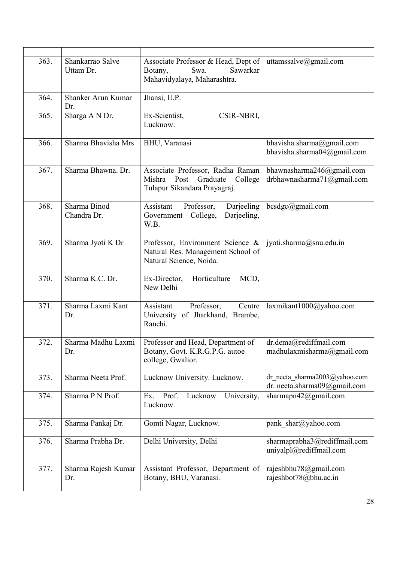| 363. | Shankarrao Salve<br>Uttam Dr. | Associate Professor & Head, Dept of<br>Swa.<br>Sawarkar<br>Botany,<br>Mahavidyalaya, Maharashtra.      | uttamssalve@gmail.com                                         |
|------|-------------------------------|--------------------------------------------------------------------------------------------------------|---------------------------------------------------------------|
| 364. | Shanker Arun Kumar<br>Dr.     | Jhansi, U.P.                                                                                           |                                                               |
| 365. | Sharga A N Dr.                | Ex-Scientist,<br>CSIR-NBRI,<br>Lucknow.                                                                |                                                               |
| 366. | Sharma Bhavisha Mrs           | BHU, Varanasi                                                                                          | bhavisha.sharma@gmail.com<br>bhavisha.sharma04@gmail.com      |
| 367. | Sharma Bhawna. Dr.            | Associate Professor, Radha Raman<br>Mishra Post<br>Graduate<br>College<br>Tulapur Sikandara Prayagraj. | bhawnasharma246@gmail.com<br>drbhawnasharma71@gmail.com       |
| 368. | Sharma Binod<br>Chandra Dr.   | Darjeeling<br>Assistant<br>Professor,<br>Government College,<br>Darjeeling,<br>W.B.                    | bcsdgc@gmail.com                                              |
| 369. | Sharma Jyoti K Dr             | Professor, Environment Science &<br>Natural Res. Management School of<br>Natural Science, Noida.       | jyoti.sharma@snu.edu.in                                       |
| 370. | Sharma K.C. Dr.               | Horticulture<br>Ex-Director,<br>MCD,<br>New Delhi                                                      |                                                               |
| 371. | Sharma Laxmi Kant<br>Dr.      | Professor,<br>Assistant<br>Centre<br>University of Jharkhand, Brambe,<br>Ranchi.                       | laxmikant1000@yahoo.com                                       |
| 372. | Sharma Madhu Laxmi<br>Dr.     | Professor and Head, Department of<br>Botany, Govt. K.R.G.P.G. autoe<br>college, Gwalior.               | dr.dema@rediffmail.com<br>madhulaxmisharma@gmail.com          |
| 373. | Sharma Neeta Prof.            | Lucknow University. Lucknow.                                                                           | dr neeta sharma2003@yahoo.com<br>dr. neeta.sharma09@gmail.com |
| 374. | Sharma P N Prof.              | Prof.<br>Lucknow<br>Ex.<br>University,<br>Lucknow.                                                     | sharmapn $42@$ gmail.com                                      |
| 375. | Sharma Pankaj Dr.             | Gomti Nagar, Lucknow.                                                                                  | pank shar@yahoo.com                                           |
| 376. | Sharma Prabha Dr.             | Delhi University, Delhi                                                                                | sharmaprabha3@rediffmail.com<br>uniyalpl@rediffmail.com       |
| 377. | Sharma Rajesh Kumar<br>Dr.    | Assistant Professor, Department of<br>Botany, BHU, Varanasi.                                           | rajeshbhu78@gmail.com<br>rajeshbot78@bhu.ac.in                |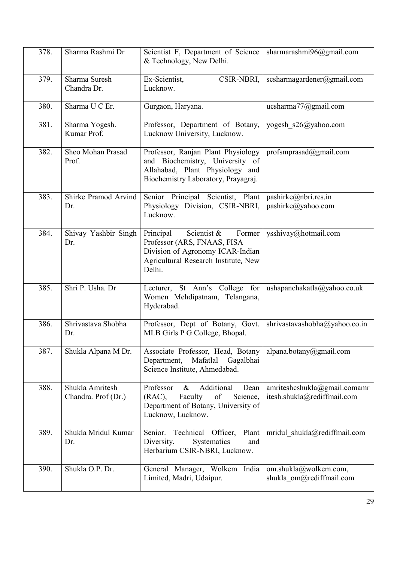| 378. | Sharma Rashmi Dr                       | Scientist F, Department of Science<br>& Technology, New Delhi.                                                                                          | sharmarashmi96@gmail.com                                    |
|------|----------------------------------------|---------------------------------------------------------------------------------------------------------------------------------------------------------|-------------------------------------------------------------|
| 379. | Sharma Suresh<br>Chandra Dr.           | Ex-Scientist,<br>CSIR-NBRI,<br>Lucknow.                                                                                                                 | scsharmagardener@gmail.com                                  |
| 380. | Sharma U C Er.                         | Gurgaon, Haryana.                                                                                                                                       | ucsharma77@gmail.com                                        |
| 381. | Sharma Yogesh.<br>Kumar Prof.          | Professor, Department of Botany,<br>Lucknow University, Lucknow.                                                                                        | yogesh s26@yahoo.com                                        |
| 382. | Sheo Mohan Prasad<br>Prof.             | Professor, Ranjan Plant Physiology<br>and Biochemistry, University of<br>Allahabad, Plant Physiology and<br>Biochemistry Laboratory, Prayagraj.         | profsmprasad@gmail.com                                      |
| 383. | Shirke Pramod Arvind<br>Dr.            | Senior Principal Scientist, Plant<br>Physiology Division, CSIR-NBRI,<br>Lucknow.                                                                        | pashirke@nbri.res.in<br>pashirke@yahoo.com                  |
| 384. | Shivay Yashbir Singh<br>Dr.            | Principal<br>Scientist &<br>Former<br>Professor (ARS, FNAAS, FISA<br>Division of Agronomy ICAR-Indian<br>Agricultural Research Institute, New<br>Delhi. | ysshivay@hotmail.com                                        |
| 385. | Shri P. Usha. Dr                       | Lecturer, St Ann's College for<br>Women Mehdipatnam, Telangana,<br>Hyderabad.                                                                           | ushapanchakatla@yahoo.co.uk                                 |
| 386. | Shrivastava Shobha<br>Dr.              | Professor, Dept of Botany, Govt.<br>MLB Girls P G College, Bhopal.                                                                                      | shrivastavashobha@yahoo.co.in                               |
| 387. | Shukla Alpana M Dr.                    | Associate Professor, Head, Botany<br>Department,<br>Mafatlal<br>Gagalbhai<br>Science Institute, Ahmedabad.                                              | alpana.botany@gmail.com                                     |
| 388. | Shukla Amritesh<br>Chandra. Prof (Dr.) | Additional<br>Professor<br>$\&$<br>Dean<br>of<br>$(RAC)$ ,<br>Faculty<br>Science,<br>Department of Botany, University of<br>Lucknow, Lucknow.           | amriteshcshukla@gmail.comamr<br>itesh.shukla@rediffmail.com |
| 389. | Shukla Mridul Kumar<br>Dr.             | Senior.<br>Technical<br>Officer,<br>Plant<br>Diversity,<br>Systematics<br>and<br>Herbarium CSIR-NBRI, Lucknow.                                          | mridul shukla@rediffmail.com                                |
| 390. | Shukla O.P. Dr.                        | General Manager, Wolkem India<br>Limited, Madri, Udaipur.                                                                                               | om.shukla@wolkem.com,<br>shukla om@rediffmail.com           |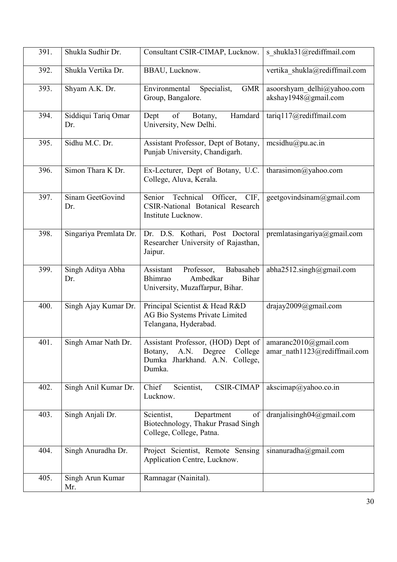| 391. | Shukla Sudhir Dr.          | Consultant CSIR-CIMAP, Lucknow.                                                                                                          | s shukla31@rediffmail.com                          |
|------|----------------------------|------------------------------------------------------------------------------------------------------------------------------------------|----------------------------------------------------|
| 392. | Shukla Vertika Dr.         | BBAU, Lucknow.                                                                                                                           | vertika_shukla@rediffmail.com                      |
| 393. | Shyam A.K. Dr.             | Environmental<br>Specialist,<br><b>GMR</b><br>Group, Bangalore.                                                                          | asoorshyam delhi@yahoo.com<br>akshay1948@gmail.com |
| 394. | Siddiqui Tariq Omar<br>Dr. | Hamdard<br>Dept<br>of<br>Botany,<br>University, New Delhi.                                                                               | tariq117@rediffmail.com                            |
| 395. | Sidhu M.C. Dr.             | Assistant Professor, Dept of Botany,<br>Punjab University, Chandigarh.                                                                   | mesidhu@pu.ac.in                                   |
| 396. | Simon Thara K Dr.          | Ex-Lecturer, Dept of Botany, U.C.<br>College, Aluva, Kerala.                                                                             | tharasimon@yahoo.com                               |
| 397. | Sinam GeetGovind<br>Dr.    | Technical<br>Officer, CIF,<br>Senior<br>CSIR-National Botanical Research<br>Institute Lucknow.                                           | geetgovindsinam@gmail.com                          |
| 398. | Singariya Premlata Dr.     | Dr. D.S. Kothari, Post Doctoral<br>Researcher University of Rajasthan,<br>Jaipur.                                                        | premlatasingariya@gmail.com                        |
| 399. | Singh Aditya Abha<br>Dr.   | Assistant<br>Professor,<br>Babasaheb<br>Bhimrao<br>Ambedkar<br><b>Bihar</b><br>University, Muzaffarpur, Bihar.                           | abha2512.singh@gmail.com                           |
| 400. | Singh Ajay Kumar Dr.       | Principal Scientist & Head R&D<br>AG Bio Systems Private Limited<br>Telangana, Hyderabad.                                                | drajay2009@gmail.com                               |
| 401. | Singh Amar Nath Dr.        | Assistant Professor, (HOD) Dept of   amaranc2010@gmail.com<br>A.N. Degree College<br>Botany,<br>Dumka Jharkhand. A.N. College,<br>Dumka. | amar nath1123@rediffmail.com                       |
| 402. | Singh Anil Kumar Dr.       | <b>CSIR-CIMAP</b><br>Chief<br>Scientist,<br>Lucknow.                                                                                     | akscimap@yahoo.co.in                               |
| 403. | Singh Anjali Dr.           | Scientist,<br>Department<br>of<br>Biotechnology, Thakur Prasad Singh<br>College, College, Patna.                                         | dranjalisingh $04@g$ mail.com                      |
| 404. | Singh Anuradha Dr.         | Project Scientist, Remote Sensing<br>Application Centre, Lucknow.                                                                        | sinanuradha@gmail.com                              |
| 405. | Singh Arun Kumar<br>Mr.    | Ramnagar (Nainital).                                                                                                                     |                                                    |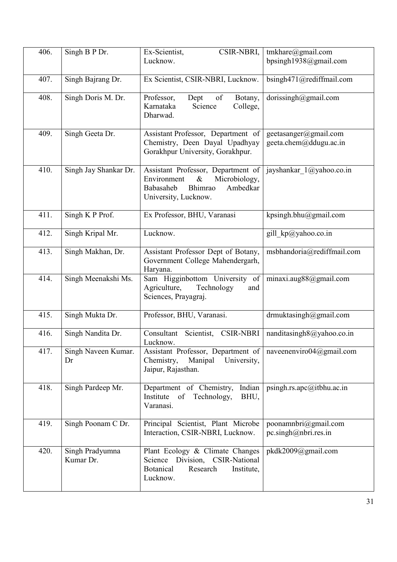| 406. | Singh B P Dr.                | Ex-Scientist,<br>CSIR-NBRI,<br>Lucknow.                                                                                                | tmkhare@gmail.com<br>bpsingh1938@gmail.com        |
|------|------------------------------|----------------------------------------------------------------------------------------------------------------------------------------|---------------------------------------------------|
| 407. | Singh Bajrang Dr.            | Ex Scientist, CSIR-NBRI, Lucknow.                                                                                                      | bsingh471@rediffmail.com                          |
| 408. | Singh Doris M. Dr.           | Dept<br>of<br>Professor,<br>Botany,<br>Karnataka<br>Science<br>College,<br>Dharwad.                                                    | dorissingh@gmail.com                              |
| 409. | Singh Geeta Dr.              | Assistant Professor, Department of<br>Chemistry, Deen Dayal Upadhyay<br>Gorakhpur University, Gorakhpur.                               | geetasanger@gmail.com<br>geeta.chem@ddugu.ac.in   |
| 410. | Singh Jay Shankar Dr.        | Assistant Professor, Department of<br>Environment<br>Microbiology,<br>$\&$<br>Ambedkar<br>Babasaheb<br>Bhimrao<br>University, Lucknow. | jayshankar 1@yahoo.co.in                          |
| 411. | Singh K P Prof.              | Ex Professor, BHU, Varanasi                                                                                                            | kpsingh.bhu@gmail.com                             |
| 412. | Singh Kripal Mr.             | Lucknow.                                                                                                                               | gill kp@yahoo.co.in                               |
| 413. | Singh Makhan, Dr.            | Assistant Professor Dept of Botany,<br>Government College Mahendergarh,<br>Haryana.                                                    | msbhandoria@rediffmail.com                        |
| 414. | Singh Meenakshi Ms.          | Sam Higginbottom University of<br>Agriculture,<br>Technology<br>and<br>Sciences, Prayagraj.                                            | minaxi.aug88@gmail.com                            |
| 415. | Singh Mukta Dr.              | Professor, BHU, Varanasi.                                                                                                              | drmuktasingh@gmail.com                            |
| 416. | Singh Nandita Dr.            | Consultant<br>Scientist,<br><b>CSIR-NBRI</b><br>Lucknow.                                                                               | nanditasingh8@yahoo.co.in                         |
| 417. | Singh Naveen Kumar.<br>Dr    | Assistant Professor, Department of<br>Chemistry,<br>Manipal University,<br>Jaipur, Rajasthan.                                          | naveenenviro04@gmail.com                          |
| 418. | Singh Pardeep Mr.            | Department of Chemistry, Indian<br>Institute<br>$\circ$ f<br>Technology,<br>BHU,<br>Varanasi.                                          | psingh.rs.apo@itbhu.ac.in                         |
| 419. | Singh Poonam C Dr.           | Principal Scientist, Plant Microbe<br>Interaction, CSIR-NBRI, Lucknow.                                                                 | poonamnbri@gmail.com<br>$pc.\nsingle@nbri.res.in$ |
| 420. | Singh Pradyumna<br>Kumar Dr. | Plant Ecology & Climate Changes<br>Division, CSIR-National<br>Science<br>Botanical<br>Research<br>Institute,<br>Lucknow.               | pkdk2009@gmail.com                                |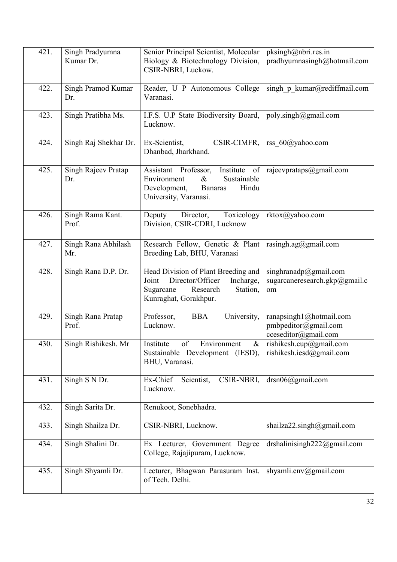| 421. | Singh Pradyumna<br>Kumar Dr. | Senior Principal Scientist, Molecular<br>Biology & Biotechnology Division,<br>CSIR-NBRI, Luckow.                                            | pksingh@nbri.res.in<br>pradhyumnasingh@hotmail.com                      |
|------|------------------------------|---------------------------------------------------------------------------------------------------------------------------------------------|-------------------------------------------------------------------------|
| 422. | Singh Pramod Kumar<br>Dr.    | Reader, U P Autonomous College<br>Varanasi.                                                                                                 | singh $p$ kumar@rediffmail.com                                          |
| 423. | Singh Pratibha Ms.           | I.F.S. U.P State Biodiversity Board,<br>Lucknow.                                                                                            | poly.singh@gmail.com                                                    |
| 424. | Singh Raj Shekhar Dr.        | Ex-Scientist,<br>CSIR-CIMFR,<br>Dhanbad, Jharkhand.                                                                                         | rss 60@yahoo.com                                                        |
| 425. | Singh Rajeev Pratap<br>Dr.   | Assistant Professor,<br>Institute<br>of<br>Sustainable<br>Environment<br>$\&$<br>Development,<br>Hindu<br>Banaras<br>University, Varanasi.  | rajeevprataps@gmail.com                                                 |
| 426. | Singh Rama Kant.<br>Prof.    | Deputy<br>Director,<br>Toxicology<br>Division, CSIR-CDRI, Lucknow                                                                           | rktox@yahoo.com                                                         |
| 427. | Singh Rana Abhilash<br>Mr.   | Research Fellow, Genetic & Plant<br>Breeding Lab, BHU, Varanasi                                                                             | rasingh.ag@gmail.com                                                    |
| 428. | Singh Rana D.P. Dr.          | Head Division of Plant Breeding and<br>Director/Officer<br>Incharge,<br>Joint<br>Sugarcane<br>Research<br>Station,<br>Kunraghat, Gorakhpur. | singhranadp@gmail.com<br>sugarcaneresearch.gkp@gmail.c<br>om            |
| 429. | Singh Rana Pratap<br>Prof.   | Professor,<br><b>BBA</b><br>University,<br>Lucknow.                                                                                         | ranapsingh1@hotmail.com<br>pmbpeditor@gmail.com<br>cceseditor@gmail.com |
| 430. | Singh Rishikesh. Mr          | <b>Institute</b><br>of<br>Environment<br>$\&$<br>Sustainable Development (IESD),<br>BHU, Varanasi.                                          | rishikesh.cup@gmail.com<br>rishikesh.iesd@gmail.com                     |
| 431. | Singh S N Dr.                | Ex-Chief<br>Scientist,<br>CSIR-NBRI,<br>Lucknow.                                                                                            | $drsn06$ ( $a$ ) gmail.com                                              |
| 432. | Singh Sarita Dr.             | Renukoot, Sonebhadra.                                                                                                                       |                                                                         |
| 433. | Singh Shailza Dr.            | CSIR-NBRI, Lucknow.                                                                                                                         | shailza22.singh@gmail.com                                               |
| 434. | Singh Shalini Dr.            | Ex Lecturer, Government Degree<br>College, Rajajipuram, Lucknow.                                                                            | drshalinisingh222@gmail.com                                             |
| 435. | Singh Shyamli Dr.            | Lecturer, Bhagwan Parasuram Inst.<br>of Tech. Delhi.                                                                                        | shyamli.env@gmail.com                                                   |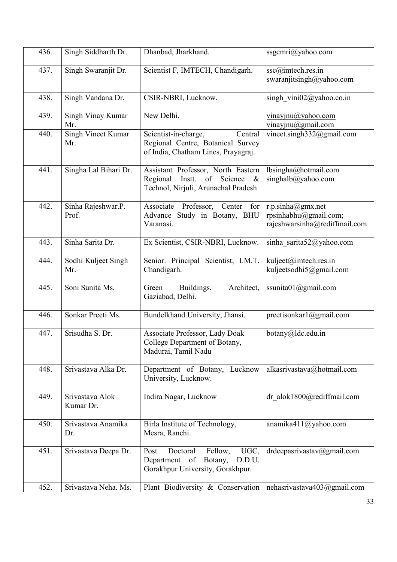| 436. | Singh Siddharth Dr.          | Dhanbad, Jharkhand.                                                                                                                         | ssgcmri@yahoo.com                                                           |
|------|------------------------------|---------------------------------------------------------------------------------------------------------------------------------------------|-----------------------------------------------------------------------------|
| 437. | Singh Swaranjit Dr.          | Scientist F, IMTECH, Chandigarh.                                                                                                            | ssc@imtech.res.in<br>swaranjitsingh@yahoo.com                               |
| 438. | Singh Vandana Dr.            | CSIR-NBRI, Lucknow.                                                                                                                         | singh vini02@yahoo.co.in                                                    |
| 439. | Singh Vinay Kumar<br>Mr.     | New Delhi.                                                                                                                                  | $v$ inayjnu@yahoo.com<br>vinayjnu@gmail.com                                 |
| 440. | Singh Vineet Kumar<br>Mr.    | Scientist-in-charge,<br>Central<br>Regional Centre, Botanical Survey<br>of India, Chatham Lines, Prayagraj.                                 | vineet.singh332@gmail.com                                                   |
| 441. | Singha Lal Bihari Dr.        | Assistant Professor, North Eastern<br>Regional<br>Instt.<br>of Science<br>$\boldsymbol{\mathcal{X}}$<br>Technol, Nirjuli, Arunachal Pradesh | lbsingha@hotmail.com<br>singhalb@yahoo.com                                  |
| 442. | Sinha Rajeshwar.P.<br>Prof.  | Associate Professor,<br>Center<br>for<br>Advance Study in Botany, BHU<br>Varanasi.                                                          | r.p.sinha@gmx.net<br>rpsinhabhu@gmail.com;<br>rajeshwarsinha@rediffmail.com |
| 443. | Sinha Sarita Dr.             | Ex Scientist, CSIR-NBRI, Lucknow.                                                                                                           | sinha sarita52@yahoo.com                                                    |
| 444. | Sodhi Kuljeet Singh<br>Mr.   | Senior. Principal Scientist, I.M.T.<br>Chandigarh.                                                                                          | kuljeet@imtech.res.in<br>kuljeetsodhi5@gmail.com                            |
| 445. | Soni Sunita Ms.              | Architect,<br>Green<br>Buildings,<br>Gaziabad, Delhi.                                                                                       | ssunita $01@g$ mail.com                                                     |
| 446. | Sonkar Preeti Ms.            | Bundelkhand University, Jhansi.                                                                                                             | preetisonkar1@gmail.com                                                     |
| 447. | Srisudha S. Dr.              | Associate Professor, Lady Doak<br>College Department of Botany,<br>Madurai, Tamil Nadu                                                      | botany@ldc.edu.in                                                           |
| 448. | Srivastava Alka Dr.          | Department of Botany, Lucknow<br>University, Lucknow.                                                                                       | alkasrivastava@hotmail.com                                                  |
| 449. | Srivastava Alok<br>Kumar Dr. | Indira Nagar, Lucknow                                                                                                                       | dr alok1800@rediffmail.com                                                  |
| 450. | Srivastava Anamika<br>Dr.    | Birla Institute of Technology,<br>Mesra, Ranchi.                                                                                            | anamika411@yahoo.com                                                        |
| 451. | Srivastava Deepa Dr.         | UGC,<br>Doctoral<br>Fellow,<br>Post<br>Department of<br>Botany,<br>D.D.U.<br>Gorakhpur University, Gorakhpur.                               | drdeepasrivastav@gmail.com                                                  |
| 452. | Srivastava Neha. Ms.         | Plant Biodiversity & Conservation                                                                                                           | nehasrivastava403@gmail.com                                                 |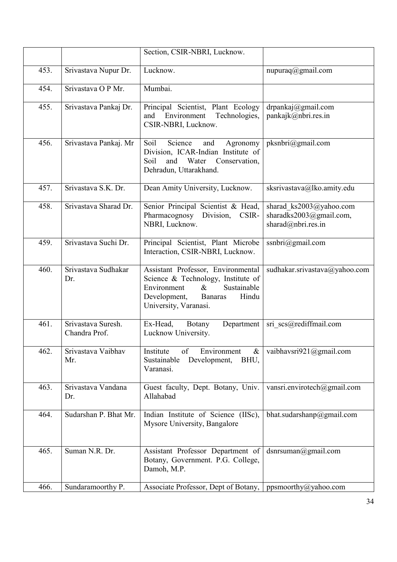|      |                                     | Section, CSIR-NBRI, Lucknow.                                                                                                                                                       |                                                                          |
|------|-------------------------------------|------------------------------------------------------------------------------------------------------------------------------------------------------------------------------------|--------------------------------------------------------------------------|
| 453. | Srivastava Nupur Dr.                | Lucknow.                                                                                                                                                                           | nupuraq@gmail.com                                                        |
| 454. | Srivastava O P Mr.                  | Mumbai.                                                                                                                                                                            |                                                                          |
| 455. | Srivastava Pankaj Dr.               | Principal Scientist, Plant Ecology<br>Environment<br>Technologies,<br>and<br>CSIR-NBRI, Lucknow.                                                                                   | drpankaj@gmail.com<br>pankajk@nbri.res.in                                |
| 456. | Srivastava Pankaj. Mr               | Science<br>Soil<br>and<br>Agronomy<br>Division, ICAR-Indian Institute of<br>Soil<br>and<br>Water<br>Conservation,<br>Dehradun, Uttarakhand.                                        | pksnbri@gmail.com                                                        |
| 457. | Srivastava S.K. Dr.                 | Dean Amity University, Lucknow.                                                                                                                                                    | sksrivastava@lko.amity.edu                                               |
| 458. | Srivastava Sharad Dr.               | Senior Principal Scientist & Head,<br>Division,<br>Pharmacognosy<br>CSIR-<br>NBRI, Lucknow.                                                                                        | sharad_ks2003@yahoo.com<br>sharadks2003@gmail.com,<br>sharad@nbri.res.in |
| 459. | Srivastava Suchi Dr.                | Principal Scientist, Plant Microbe<br>Interaction, CSIR-NBRI, Lucknow.                                                                                                             | ssnbri@gmail.com                                                         |
| 460. | Srivastava Sudhakar<br>Dr.          | Assistant Professor, Environmental<br>Science & Technology, Institute of<br>Sustainable<br>Environment<br>$\&$<br>Development,<br><b>Banaras</b><br>Hindu<br>University, Varanasi. | sudhakar.srivastava@yahoo.com                                            |
| 461. | Srivastava Suresh.<br>Chandra Prof. | Ex-Head,<br>Botany<br>Department<br>Lucknow University.                                                                                                                            | sri scs@rediffmail.com                                                   |
| 462. | Srivastava Vaibhav<br>Mr.           | Environment<br>Institute<br>of<br>&<br>Development,<br>Sustainable<br>BHU,<br>Varanasi.                                                                                            | vaibhavsri921@gmail.com                                                  |
| 463. | Srivastava Vandana<br>Dr.           | Guest faculty, Dept. Botany, Univ.<br>Allahabad                                                                                                                                    | vansri.envirotech@gmail.com                                              |
| 464. | Sudarshan P. Bhat Mr.               | Indian Institute of Science (IISc),<br>Mysore University, Bangalore                                                                                                                | bhat.sudarshanp@gmail.com                                                |
| 465. | Suman N.R. Dr.                      | Assistant Professor Department of<br>Botany, Government. P.G. College,<br>Damoh, M.P.                                                                                              | dsnrsuman@gmail.com                                                      |
| 466. | Sundaramoorthy P.                   | Associate Professor, Dept of Botany,                                                                                                                                               | ppsmoorthy@yahoo.com                                                     |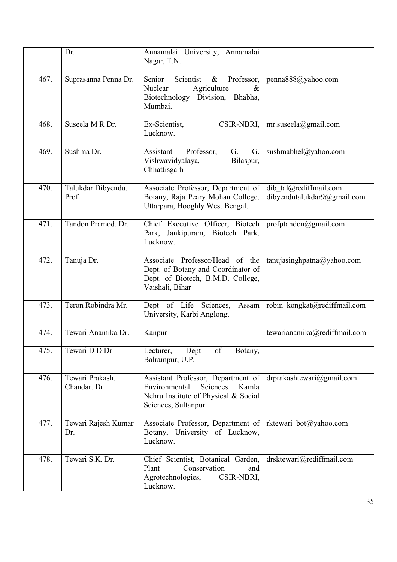|      | Dr.                             | Annamalai University, Annamalai<br>Nagar, T.N.                                                                                           |                                                       |
|------|---------------------------------|------------------------------------------------------------------------------------------------------------------------------------------|-------------------------------------------------------|
| 467. | Suprasanna Penna Dr.            | Scientist<br>Senior<br>$\&$<br>Professor,<br>Agriculture<br>Nuclear<br>$\&$<br>Biotechnology Division, Bhabha,<br>Mumbai.                | penna888@yahoo.com                                    |
| 468. | Suseela M R Dr.                 | CSIR-NBRI,<br>Ex-Scientist,<br>Lucknow.                                                                                                  | $mr$ .suseela@gmail.com                               |
| 469. | Sushma Dr.                      | Assistant<br>Professor,<br>G.<br>G.<br>Vishwavidyalaya,<br>Bilaspur,<br>Chhattisgarh                                                     | sushmabhel@yahoo.com                                  |
| 470. | Talukdar Dibyendu.<br>Prof.     | Associate Professor, Department of<br>Botany, Raja Peary Mohan College,<br>Uttarpara, Hooghly West Bengal.                               | dib tal@rediffmail.com<br>dibyendutalukdar9@gmail.com |
| 471. | Tandon Pramod. Dr.              | Chief Executive Officer, Biotech<br>Park, Jankipuram, Biotech Park,<br>Lucknow.                                                          | profptandon@gmail.com                                 |
| 472. | Tanuja Dr.                      | Associate Professor/Head of the<br>Dept. of Botany and Coordinator of<br>Dept. of Biotech, B.M.D. College,<br>Vaishali, Bihar            | tanujasinghpatna@yahoo.com                            |
| 473. | Teron Robindra Mr.              | Dept of Life Sciences,<br>Assam<br>University, Karbi Anglong.                                                                            | robin kongkat@rediffmail.com                          |
| 474. | Tewari Anamika Dr.              | Kanpur                                                                                                                                   | tewarianamika@rediffmail.com                          |
| 475. | Tewari D D Dr                   | of<br>Lecturer,<br>Dept<br>Botany,<br>Balrampur, U.P.                                                                                    |                                                       |
| 476. | Tewari Prakash.<br>Chandar. Dr. | Assistant Professor, Department of<br>Sciences<br>Environmental<br>Kamla<br>Nehru Institute of Physical & Social<br>Sciences, Sultanpur. | drprakashtewari@gmail.com                             |
| 477. | Tewari Rajesh Kumar<br>Dr.      | Associate Professor, Department of<br>Botany, University of Lucknow,<br>Lucknow.                                                         | rktewari bot@yahoo.com                                |
| 478. | Tewari S.K. Dr.                 | Chief Scientist, Botanical Garden,<br>Conservation<br>Plant<br>and<br>Agrotechnologies,<br>CSIR-NBRI,<br>Lucknow.                        | drsktewari@rediffmail.com                             |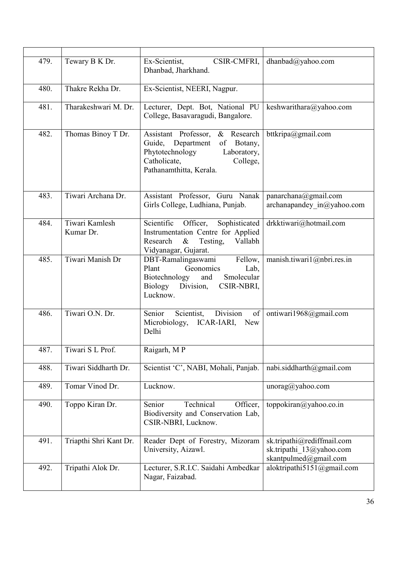| 479. | Tewary B K Dr.              | Ex-Scientist,<br>CSIR-CMFRI,<br>Dhanbad, Jharkhand.                                                                                                         | dhanbad@yahoo.com                                                               |
|------|-----------------------------|-------------------------------------------------------------------------------------------------------------------------------------------------------------|---------------------------------------------------------------------------------|
| 480. | Thakre Rekha Dr.            | Ex-Scientist, NEERI, Nagpur.                                                                                                                                |                                                                                 |
| 481. | Tharakeshwari M. Dr.        | Lecturer, Dept. Bot, National PU<br>College, Basavaragudi, Bangalore.                                                                                       | keshwarithara@yahoo.com                                                         |
| 482. | Thomas Binoy T Dr.          | Assistant Professor, & Research<br>Guide, Department<br>of Botany,<br>Phytotechnology<br>Laboratory,<br>Catholicate,<br>College,<br>Pathanamthitta, Kerala. | bttkripa@gmail.com                                                              |
| 483. | Tiwari Archana Dr.          | Assistant Professor, Guru Nanak<br>Girls College, Ludhiana, Punjab.                                                                                         | panarchana@gmail.com<br>archanapandey $in@yahoo.com$                            |
| 484. | Tiwari Kamlesh<br>Kumar Dr. | Scientific Officer, Sophisticated<br>Instrumentation Centre for Applied<br>Research<br>$\&$<br>Testing,<br>Vallabh<br>Vidyanagar, Gujarat.                  | drkktiwari@hotmail.com                                                          |
| 485. | Tiwari Manish Dr            | DBT-Ramalingaswami<br>Fellow,<br>Plant<br>Geonomics<br>Lab,<br>Biotechnology<br>Smolecular<br>and<br>Biology Division,<br>CSIR-NBRI,<br>Lucknow.            | manish.tiwari1@nbri.res.in                                                      |
| 486. | Tiwari O.N. Dr.             | Division<br>Senior<br>Scientist,<br>of<br>Microbiology, ICAR-IARI,<br>New<br>Delhi                                                                          | ontiwari1968@gmail.com                                                          |
| 487. | Tiwari S L Prof.            | Raigarh, MP                                                                                                                                                 |                                                                                 |
| 488. | Tiwari Siddharth Dr.        | Scientist 'C', NABI, Mohali, Panjab.                                                                                                                        | nabi.siddharth@gmail.com                                                        |
| 489. | Tomar Vinod Dr.             | Lucknow.                                                                                                                                                    | $\text{unorag}(\hat{\alpha})$ yahoo.com                                         |
| 490. | Toppo Kiran Dr.             | Technical<br>Officer,<br>Senior<br>Biodiversity and Conservation Lab,<br>CSIR-NBRI, Lucknow.                                                                | toppokiran@yahoo.co.in                                                          |
| 491. | Triapthi Shri Kant Dr.      | Reader Dept of Forestry, Mizoram<br>University, Aizawl.                                                                                                     | sk.tripathi@rediffmail.com<br>sk.tripathi 13@yahoo.com<br>skantpulmed@gmail.com |
| 492. | Tripathi Alok Dr.           | Lecturer, S.R.I.C. Saidahi Ambedkar<br>Nagar, Faizabad.                                                                                                     | aloktripathi5151@gmail.com                                                      |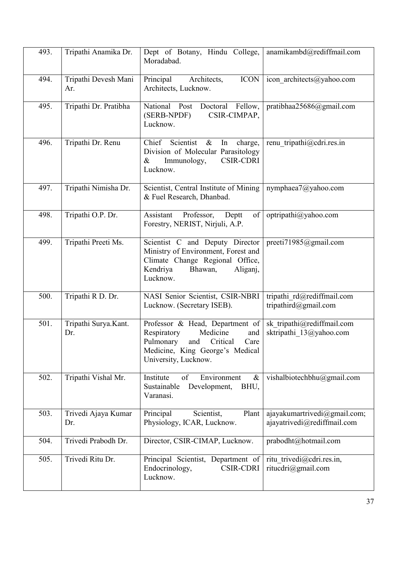| 493. | Tripathi Anamika Dr.        | Dept of Botany, Hindu College,<br>Moradabad.                                                                                                                         | anamikambd@rediffmail.com                                   |
|------|-----------------------------|----------------------------------------------------------------------------------------------------------------------------------------------------------------------|-------------------------------------------------------------|
| 494. | Tripathi Devesh Mani<br>Ar. | Principal<br>Architects,<br><b>ICON</b><br>Architects, Lucknow.                                                                                                      | icon architects@yahoo.com                                   |
| 495. | Tripathi Dr. Pratibha       | National Post<br>Doctoral Fellow,<br>CSIR-CIMPAP,<br>(SERB-NPDF)<br>Lucknow.                                                                                         | pratibhaa25686@gmail.com                                    |
| 496. | Tripathi Dr. Renu           | Chief Scientist<br>$\&$<br>In<br>charge,<br>Division of Molecular Parasitology<br><b>CSIR-CDRI</b><br>Immunology,<br>$\&$<br>Lucknow.                                | renu tripathi@cdri.res.in                                   |
| 497. | Tripathi Nimisha Dr.        | Scientist, Central Institute of Mining<br>& Fuel Research, Dhanbad.                                                                                                  | nymphaea7@yahoo.com                                         |
| 498. | Tripathi O.P. Dr.           | Assistant<br>Professor,<br>Deptt<br>of<br>Forestry, NERIST, Nirjuli, A.P.                                                                                            | optripathi@yahoo.com                                        |
| 499. | Tripathi Preeti Ms.         | Scientist C and Deputy Director<br>Ministry of Environment, Forest and<br>Climate Change Regional Office,<br>Kendriya<br>Bhawan,<br>Aliganj,<br>Lucknow.             | preeti71985@gmail.com                                       |
| 500. | Tripathi R D. Dr.           | NASI Senior Scientist, CSIR-NBRI<br>Lucknow. (Secretary ISEB).                                                                                                       | tripathi rd@rediffmail.com<br>tripathird@gmail.com          |
| 501. | Tripathi Surya.Kant.<br>Dr. | Professor & Head, Department of<br>Respiratory<br>Medicine<br>and<br>Pulmonary<br>Critical<br>and<br>Care<br>Medicine, King George's Medical<br>University, Lucknow. | sk_tripathi@rediffmail.com<br>sktripathi 13@yahoo.com       |
| 502. | Tripathi Vishal Mr.         | Institute<br>of<br>Environment<br>$\&$<br>Development,<br>Sustainable<br>BHU,<br>Varanasi.                                                                           | vishalbiotechbhu@gmail.com                                  |
| 503. | Trivedi Ajaya Kumar<br>Dr.  | Principal<br>Scientist,<br>Plant<br>Physiology, ICAR, Lucknow.                                                                                                       | ajayakumartrivedi@gmail.com;<br>ajayatrivedi@rediffmail.com |
| 504. | Trivedi Prabodh Dr.         | Director, CSIR-CIMAP, Lucknow.                                                                                                                                       | prabodht@hotmail.com                                        |
| 505. | Trivedi Ritu Dr.            | Principal Scientist, Department of<br><b>CSIR-CDRI</b><br>Endocrinology,<br>Lucknow.                                                                                 | ritu trivedi@cdri.res.in,<br>ritucdri@gmail.com             |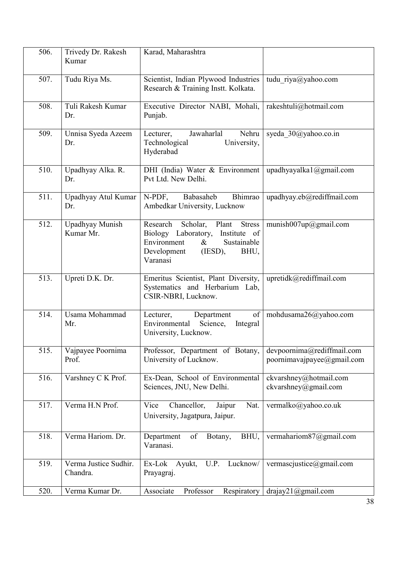| 506. | Trivedy Dr. Rakesh<br>Kumar       | Karad, Maharashtra                                                                                                                                                     |                                                          |
|------|-----------------------------------|------------------------------------------------------------------------------------------------------------------------------------------------------------------------|----------------------------------------------------------|
| 507. | Tudu Riya Ms.                     | Scientist, Indian Plywood Industries<br>Research & Training Instt. Kolkata.                                                                                            | tudu riya@yahoo.com                                      |
| 508. | Tuli Rakesh Kumar<br>Dr.          | Executive Director NABI, Mohali,<br>Punjab.                                                                                                                            | rakeshtuli@hotmail.com                                   |
| 509. | Unnisa Syeda Azeem<br>Dr.         | Jawaharlal<br>Nehru<br>Lecturer,<br>Technological<br>University,<br>Hyderabad                                                                                          | syeda 30@yahoo.co.in                                     |
| 510. | Upadhyay Alka. R.<br>Dr.          | DHI (India) Water & Environment<br>Pvt Ltd. New Delhi.                                                                                                                 | upadhyayalka1@gmail.com                                  |
| 511. | Upadhyay Atul Kumar<br>Dr.        | Bhimrao<br>N-PDF,<br>Babasaheb<br>Ambedkar University, Lucknow                                                                                                         | upadhyay.eb@rediffmail.com                               |
| 512. | Upadhyay Munish<br>Kumar Mr.      | Scholar, Plant<br><b>Stress</b><br>Research<br>Biology Laboratory,<br>Institute of<br>Environment<br>$\&$<br>Sustainable<br>(IESD),<br>Development<br>BHU,<br>Varanasi | munish007up@gmail.com                                    |
| 513. | Upreti D.K. Dr.                   | Emeritus Scientist, Plant Diversity,<br>Systematics and Herbarium Lab,<br>CSIR-NBRI, Lucknow.                                                                          | upretidk@rediffmail.com                                  |
| 514. | Usama Mohammad<br>Mr.             | of<br>Lecturer,<br>Department<br>Environmental<br>Science,<br>Integral<br>University, Lucknow.                                                                         | mohdusama26@yahoo.com                                    |
| 515. | Vajpayee Poornima<br>Prof.        | Professor, Department of Botany,<br>University of Lucknow.                                                                                                             | devpoornima@rediffmail.com<br>poornimavajpayee@gmail.com |
| 516. | Varshney C K Prof.                | Ex-Dean, School of Environmental<br>Sciences, JNU, New Delhi.                                                                                                          | ckvarshney@hotmail.com<br>ckvarshney@gmail.com           |
| 517. | Verma H.N Prof.                   | Chancellor,<br>Vice<br>Nat.<br>Jaipur<br>University, Jagatpura, Jaipur.                                                                                                | vermalko@yahoo.co.uk                                     |
| 518. | Verma Hariom. Dr.                 | of<br>BHU,<br>Department<br>Botany,<br>Varanasi.                                                                                                                       | vermahariom87@gmail.com                                  |
| 519. | Verma Justice Sudhir.<br>Chandra. | Lucknow/<br>U.P.<br>Ex-Lok<br>Ayukt,<br>Prayagraj.                                                                                                                     | vermascjustice@gmail.com                                 |
| 520. | Verma Kumar Dr.                   | Professor<br>Associate<br>Respiratory                                                                                                                                  | $\text{drajay21}$ (@gmail.com                            |